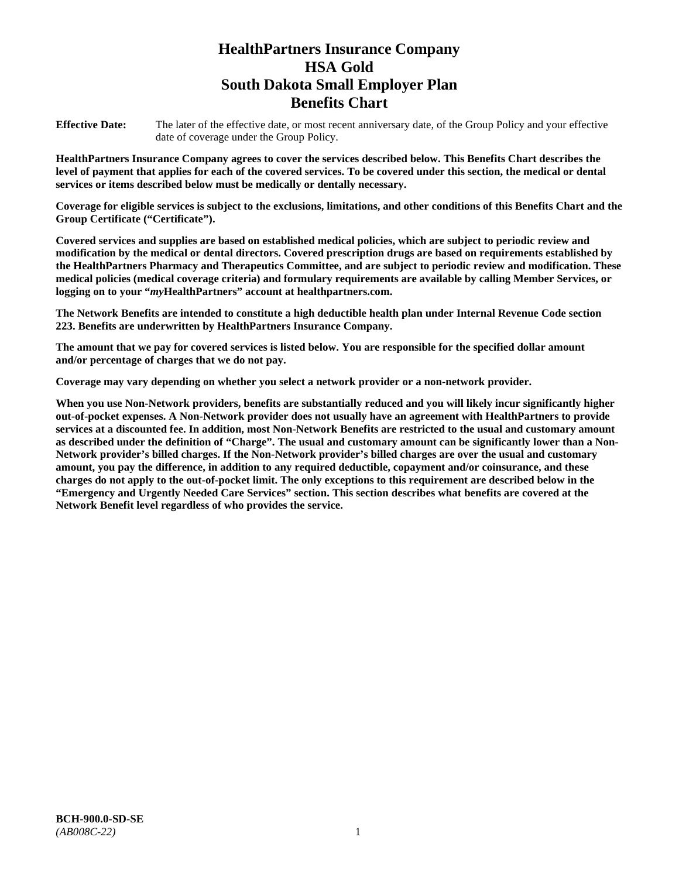# **HealthPartners Insurance Company HSA Gold South Dakota Small Employer Plan Benefits Chart**

**Effective Date:** The later of the effective date, or most recent anniversary date, of the Group Policy and your effective date of coverage under the Group Policy.

**HealthPartners Insurance Company agrees to cover the services described below. This Benefits Chart describes the level of payment that applies for each of the covered services. To be covered under this section, the medical or dental services or items described below must be medically or dentally necessary.**

**Coverage for eligible services is subject to the exclusions, limitations, and other conditions of this Benefits Chart and the Group Certificate ("Certificate").**

**Covered services and supplies are based on established medical policies, which are subject to periodic review and modification by the medical or dental directors. Covered prescription drugs are based on requirements established by the HealthPartners Pharmacy and Therapeutics Committee, and are subject to periodic review and modification. These medical policies (medical coverage criteria) and formulary requirements are available by calling Member Services, or logging on to your "***my***HealthPartners" account at [healthpartners.com.](file://isntmacsrv0/www.healthpartners.com)**

**The Network Benefits are intended to constitute a high deductible health plan under Internal Revenue Code section 223. Benefits are underwritten by HealthPartners Insurance Company.**

**The amount that we pay for covered services is listed below. You are responsible for the specified dollar amount and/or percentage of charges that we do not pay.**

**Coverage may vary depending on whether you select a network provider or a non-network provider.**

**When you use Non-Network providers, benefits are substantially reduced and you will likely incur significantly higher out-of-pocket expenses. A Non-Network provider does not usually have an agreement with HealthPartners to provide services at a discounted fee. In addition, most Non-Network Benefits are restricted to the usual and customary amount as described under the definition of "Charge". The usual and customary amount can be significantly lower than a Non-Network provider's billed charges. If the Non-Network provider's billed charges are over the usual and customary amount, you pay the difference, in addition to any required deductible, copayment and/or coinsurance, and these charges do not apply to the out-of-pocket limit. The only exceptions to this requirement are described below in the "Emergency and Urgently Needed Care Services" section. This section describes what benefits are covered at the Network Benefit level regardless of who provides the service.**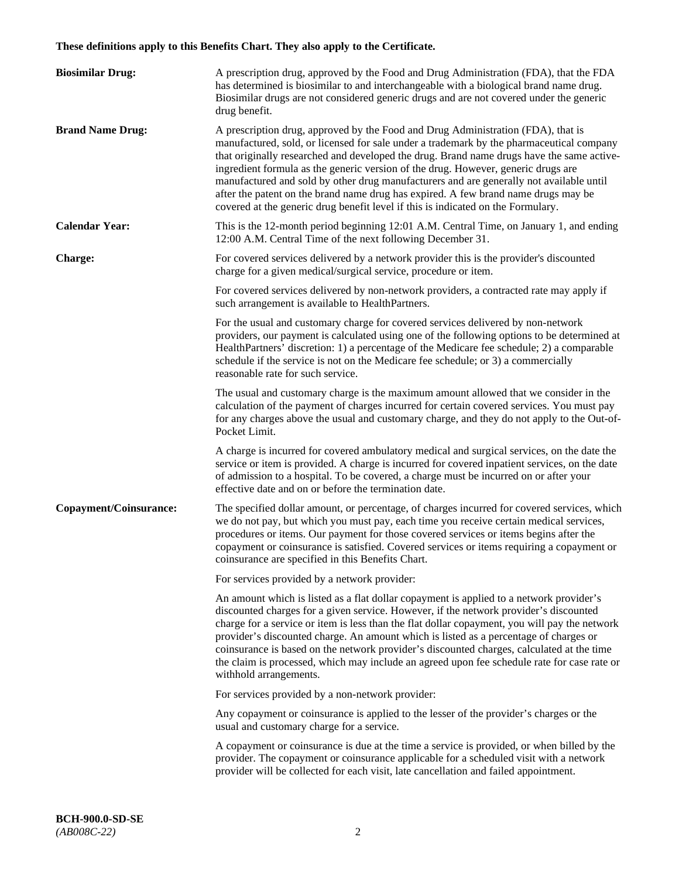# **These definitions apply to this Benefits Chart. They also apply to the Certificate.**

| <b>Biosimilar Drug:</b> | A prescription drug, approved by the Food and Drug Administration (FDA), that the FDA<br>has determined is biosimilar to and interchangeable with a biological brand name drug.<br>Biosimilar drugs are not considered generic drugs and are not covered under the generic<br>drug benefit.                                                                                                                                                                                                                                                                                                                                         |
|-------------------------|-------------------------------------------------------------------------------------------------------------------------------------------------------------------------------------------------------------------------------------------------------------------------------------------------------------------------------------------------------------------------------------------------------------------------------------------------------------------------------------------------------------------------------------------------------------------------------------------------------------------------------------|
| <b>Brand Name Drug:</b> | A prescription drug, approved by the Food and Drug Administration (FDA), that is<br>manufactured, sold, or licensed for sale under a trademark by the pharmaceutical company<br>that originally researched and developed the drug. Brand name drugs have the same active-<br>ingredient formula as the generic version of the drug. However, generic drugs are<br>manufactured and sold by other drug manufacturers and are generally not available until<br>after the patent on the brand name drug has expired. A few brand name drugs may be<br>covered at the generic drug benefit level if this is indicated on the Formulary. |
| <b>Calendar Year:</b>   | This is the 12-month period beginning 12:01 A.M. Central Time, on January 1, and ending<br>12:00 A.M. Central Time of the next following December 31.                                                                                                                                                                                                                                                                                                                                                                                                                                                                               |
| <b>Charge:</b>          | For covered services delivered by a network provider this is the provider's discounted<br>charge for a given medical/surgical service, procedure or item.                                                                                                                                                                                                                                                                                                                                                                                                                                                                           |
|                         | For covered services delivered by non-network providers, a contracted rate may apply if<br>such arrangement is available to HealthPartners.                                                                                                                                                                                                                                                                                                                                                                                                                                                                                         |
|                         | For the usual and customary charge for covered services delivered by non-network<br>providers, our payment is calculated using one of the following options to be determined at<br>HealthPartners' discretion: 1) a percentage of the Medicare fee schedule; 2) a comparable<br>schedule if the service is not on the Medicare fee schedule; or 3) a commercially<br>reasonable rate for such service.                                                                                                                                                                                                                              |
|                         | The usual and customary charge is the maximum amount allowed that we consider in the<br>calculation of the payment of charges incurred for certain covered services. You must pay<br>for any charges above the usual and customary charge, and they do not apply to the Out-of-<br>Pocket Limit.                                                                                                                                                                                                                                                                                                                                    |
|                         | A charge is incurred for covered ambulatory medical and surgical services, on the date the<br>service or item is provided. A charge is incurred for covered inpatient services, on the date<br>of admission to a hospital. To be covered, a charge must be incurred on or after your<br>effective date and on or before the termination date.                                                                                                                                                                                                                                                                                       |
| Copayment/Coinsurance:  | The specified dollar amount, or percentage, of charges incurred for covered services, which<br>we do not pay, but which you must pay, each time you receive certain medical services,<br>procedures or items. Our payment for those covered services or items begins after the<br>copayment or coinsurance is satisfied. Covered services or items requiring a copayment or<br>coinsurance are specified in this Benefits Chart.                                                                                                                                                                                                    |
|                         | For services provided by a network provider:                                                                                                                                                                                                                                                                                                                                                                                                                                                                                                                                                                                        |
|                         | An amount which is listed as a flat dollar copayment is applied to a network provider's<br>discounted charges for a given service. However, if the network provider's discounted<br>charge for a service or item is less than the flat dollar copayment, you will pay the network<br>provider's discounted charge. An amount which is listed as a percentage of charges or<br>coinsurance is based on the network provider's discounted charges, calculated at the time<br>the claim is processed, which may include an agreed upon fee schedule rate for case rate or<br>withhold arrangements.                                    |
|                         | For services provided by a non-network provider:                                                                                                                                                                                                                                                                                                                                                                                                                                                                                                                                                                                    |
|                         | Any copayment or coinsurance is applied to the lesser of the provider's charges or the<br>usual and customary charge for a service.                                                                                                                                                                                                                                                                                                                                                                                                                                                                                                 |
|                         | A copayment or coinsurance is due at the time a service is provided, or when billed by the<br>provider. The copayment or coinsurance applicable for a scheduled visit with a network<br>provider will be collected for each visit, late cancellation and failed appointment.                                                                                                                                                                                                                                                                                                                                                        |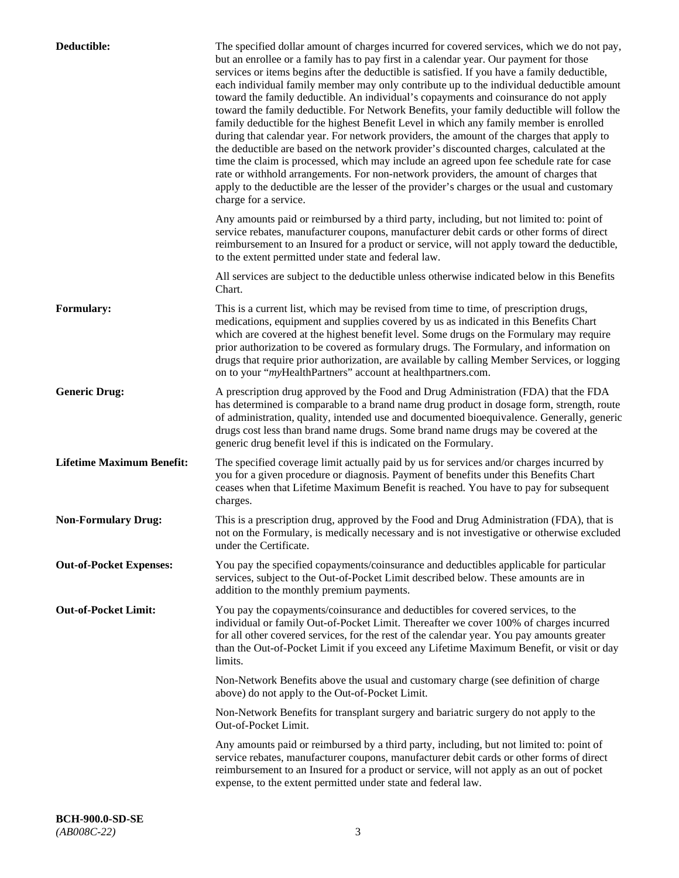| Deductible:                      | The specified dollar amount of charges incurred for covered services, which we do not pay,<br>but an enrollee or a family has to pay first in a calendar year. Our payment for those<br>services or items begins after the deductible is satisfied. If you have a family deductible,<br>each individual family member may only contribute up to the individual deductible amount<br>toward the family deductible. An individual's copayments and coinsurance do not apply<br>toward the family deductible. For Network Benefits, your family deductible will follow the<br>family deductible for the highest Benefit Level in which any family member is enrolled<br>during that calendar year. For network providers, the amount of the charges that apply to<br>the deductible are based on the network provider's discounted charges, calculated at the<br>time the claim is processed, which may include an agreed upon fee schedule rate for case<br>rate or withhold arrangements. For non-network providers, the amount of charges that<br>apply to the deductible are the lesser of the provider's charges or the usual and customary<br>charge for a service. |
|----------------------------------|------------------------------------------------------------------------------------------------------------------------------------------------------------------------------------------------------------------------------------------------------------------------------------------------------------------------------------------------------------------------------------------------------------------------------------------------------------------------------------------------------------------------------------------------------------------------------------------------------------------------------------------------------------------------------------------------------------------------------------------------------------------------------------------------------------------------------------------------------------------------------------------------------------------------------------------------------------------------------------------------------------------------------------------------------------------------------------------------------------------------------------------------------------------------|
|                                  | Any amounts paid or reimbursed by a third party, including, but not limited to: point of<br>service rebates, manufacturer coupons, manufacturer debit cards or other forms of direct<br>reimbursement to an Insured for a product or service, will not apply toward the deductible,<br>to the extent permitted under state and federal law.                                                                                                                                                                                                                                                                                                                                                                                                                                                                                                                                                                                                                                                                                                                                                                                                                            |
|                                  | All services are subject to the deductible unless otherwise indicated below in this Benefits<br>Chart.                                                                                                                                                                                                                                                                                                                                                                                                                                                                                                                                                                                                                                                                                                                                                                                                                                                                                                                                                                                                                                                                 |
| <b>Formulary:</b>                | This is a current list, which may be revised from time to time, of prescription drugs,<br>medications, equipment and supplies covered by us as indicated in this Benefits Chart<br>which are covered at the highest benefit level. Some drugs on the Formulary may require<br>prior authorization to be covered as formulary drugs. The Formulary, and information on<br>drugs that require prior authorization, are available by calling Member Services, or logging<br>on to your "myHealthPartners" account at healthpartners.com.                                                                                                                                                                                                                                                                                                                                                                                                                                                                                                                                                                                                                                  |
| <b>Generic Drug:</b>             | A prescription drug approved by the Food and Drug Administration (FDA) that the FDA<br>has determined is comparable to a brand name drug product in dosage form, strength, route<br>of administration, quality, intended use and documented bioequivalence. Generally, generic<br>drugs cost less than brand name drugs. Some brand name drugs may be covered at the<br>generic drug benefit level if this is indicated on the Formulary.                                                                                                                                                                                                                                                                                                                                                                                                                                                                                                                                                                                                                                                                                                                              |
| <b>Lifetime Maximum Benefit:</b> | The specified coverage limit actually paid by us for services and/or charges incurred by<br>you for a given procedure or diagnosis. Payment of benefits under this Benefits Chart<br>ceases when that Lifetime Maximum Benefit is reached. You have to pay for subsequent<br>charges.                                                                                                                                                                                                                                                                                                                                                                                                                                                                                                                                                                                                                                                                                                                                                                                                                                                                                  |
| <b>Non-Formulary Drug:</b>       | This is a prescription drug, approved by the Food and Drug Administration (FDA), that is<br>not on the Formulary, is medically necessary and is not investigative or otherwise excluded<br>under the Certificate.                                                                                                                                                                                                                                                                                                                                                                                                                                                                                                                                                                                                                                                                                                                                                                                                                                                                                                                                                      |
| <b>Out-of-Pocket Expenses:</b>   | You pay the specified copayments/coinsurance and deductibles applicable for particular<br>services, subject to the Out-of-Pocket Limit described below. These amounts are in<br>addition to the monthly premium payments.                                                                                                                                                                                                                                                                                                                                                                                                                                                                                                                                                                                                                                                                                                                                                                                                                                                                                                                                              |
| <b>Out-of-Pocket Limit:</b>      | You pay the copayments/coinsurance and deductibles for covered services, to the<br>individual or family Out-of-Pocket Limit. Thereafter we cover 100% of charges incurred<br>for all other covered services, for the rest of the calendar year. You pay amounts greater<br>than the Out-of-Pocket Limit if you exceed any Lifetime Maximum Benefit, or visit or day<br>limits.                                                                                                                                                                                                                                                                                                                                                                                                                                                                                                                                                                                                                                                                                                                                                                                         |
|                                  | Non-Network Benefits above the usual and customary charge (see definition of charge<br>above) do not apply to the Out-of-Pocket Limit.                                                                                                                                                                                                                                                                                                                                                                                                                                                                                                                                                                                                                                                                                                                                                                                                                                                                                                                                                                                                                                 |
|                                  | Non-Network Benefits for transplant surgery and bariatric surgery do not apply to the<br>Out-of-Pocket Limit.                                                                                                                                                                                                                                                                                                                                                                                                                                                                                                                                                                                                                                                                                                                                                                                                                                                                                                                                                                                                                                                          |
|                                  | Any amounts paid or reimbursed by a third party, including, but not limited to: point of<br>service rebates, manufacturer coupons, manufacturer debit cards or other forms of direct<br>reimbursement to an Insured for a product or service, will not apply as an out of pocket<br>expense, to the extent permitted under state and federal law.                                                                                                                                                                                                                                                                                                                                                                                                                                                                                                                                                                                                                                                                                                                                                                                                                      |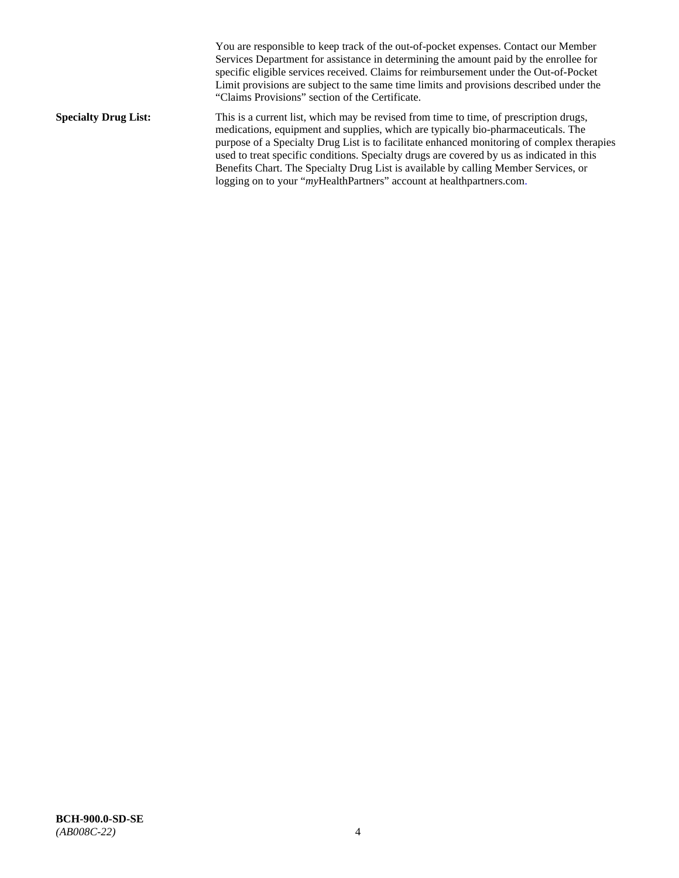You are responsible to keep track of the out-of-pocket expenses. Contact our Member Services Department for assistance in determining the amount paid by the enrollee for specific eligible services received. Claims for reimbursement under the Out-of-Pocket Limit provisions are subject to the same time limits and provisions described under the "Claims Provisions" section of the Certificate. **Specialty Drug List:** This is a current list, which may be revised from time to time, of prescription drugs, medications, equipment and supplies, which are typically bio-pharmaceuticals. The purpose of a Specialty Drug List is to facilitate enhanced monitoring of complex therapies used to treat specific conditions. Specialty drugs are covered by us as indicated in this Benefits Chart. The Specialty Drug List is available by calling Member Services, or logging on to your "myHealthPartners" account at [healthpartners.com.](http://healthpartners.com/)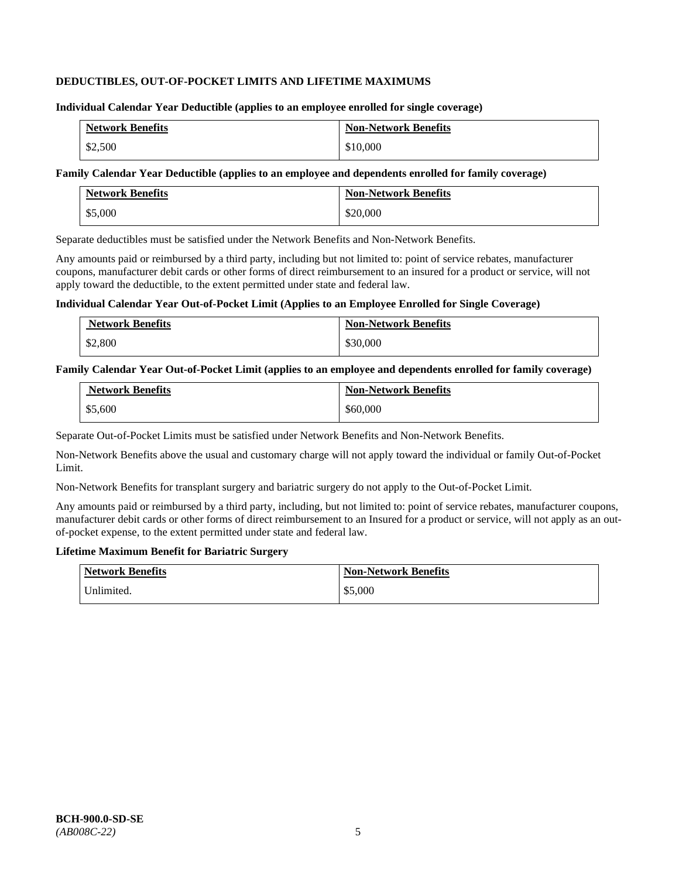### **DEDUCTIBLES, OUT-OF-POCKET LIMITS AND LIFETIME MAXIMUMS**

#### **Individual Calendar Year Deductible (applies to an employee enrolled for single coverage)**

| <b>Network Benefits</b> | <b>Non-Network Benefits</b> |
|-------------------------|-----------------------------|
| \$2,500                 | \$10,000                    |

### **Family Calendar Year Deductible (applies to an employee and dependents enrolled for family coverage)**

| <b>Network Benefits</b> | <b>Non-Network Benefits</b> |
|-------------------------|-----------------------------|
| \$5,000                 | \$20,000                    |

Separate deductibles must be satisfied under the Network Benefits and Non-Network Benefits.

Any amounts paid or reimbursed by a third party, including but not limited to: point of service rebates, manufacturer coupons, manufacturer debit cards or other forms of direct reimbursement to an insured for a product or service, will not apply toward the deductible, to the extent permitted under state and federal law.

#### **Individual Calendar Year Out-of-Pocket Limit (Applies to an Employee Enrolled for Single Coverage)**

| <b>Network Benefits</b> | <b>Non-Network Benefits</b> |
|-------------------------|-----------------------------|
| \$2,800                 | \$30,000                    |

#### **Family Calendar Year Out-of-Pocket Limit (applies to an employee and dependents enrolled for family coverage)**

| <b>Network Benefits</b> | <b>Non-Network Benefits</b> |
|-------------------------|-----------------------------|
| \$5,600                 | \$60,000                    |

Separate Out-of-Pocket Limits must be satisfied under Network Benefits and Non-Network Benefits.

Non-Network Benefits above the usual and customary charge will not apply toward the individual or family Out-of-Pocket Limit.

Non-Network Benefits for transplant surgery and bariatric surgery do not apply to the Out-of-Pocket Limit.

Any amounts paid or reimbursed by a third party, including, but not limited to: point of service rebates, manufacturer coupons, manufacturer debit cards or other forms of direct reimbursement to an Insured for a product or service, will not apply as an outof-pocket expense, to the extent permitted under state and federal law.

### **Lifetime Maximum Benefit for Bariatric Surgery**

| <b>Network Benefits</b> | <b>Non-Network Benefits</b> |
|-------------------------|-----------------------------|
| Unlimited.              | \$5,000                     |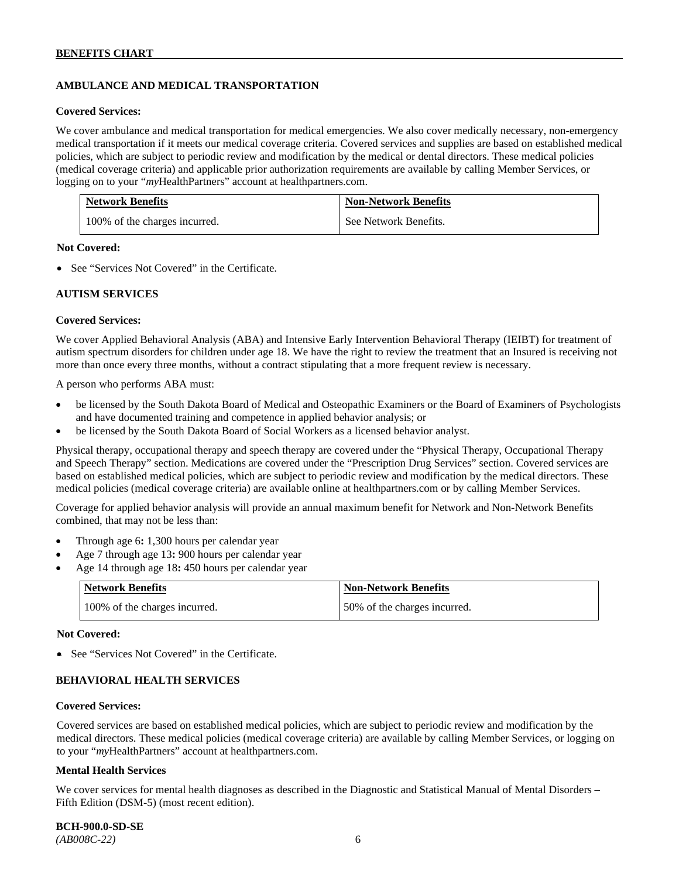# **AMBULANCE AND MEDICAL TRANSPORTATION**

#### **Covered Services:**

We cover ambulance and medical transportation for medical emergencies. We also cover medically necessary, non-emergency medical transportation if it meets our medical coverage criteria. Covered services and supplies are based on established medical policies, which are subject to periodic review and modification by the medical or dental directors. These medical policies (medical coverage criteria) and applicable prior authorization requirements are available by calling Member Services, or logging on to your "*my*HealthPartners" account at [healthpartners.com.](http://healthpartners.com/)

| <b>Network Benefits</b>       | <b>Non-Network Benefits</b> |
|-------------------------------|-----------------------------|
| 100% of the charges incurred. | See Network Benefits.       |

### **Not Covered:**

• See "Services Not Covered" in the Certificate.

### **AUTISM SERVICES**

### **Covered Services:**

We cover Applied Behavioral Analysis (ABA) and Intensive Early Intervention Behavioral Therapy (IEIBT) for treatment of autism spectrum disorders for children under age 18. We have the right to review the treatment that an Insured is receiving not more than once every three months, without a contract stipulating that a more frequent review is necessary.

A person who performs ABA must:

- be licensed by the South Dakota Board of Medical and Osteopathic Examiners or the Board of Examiners of Psychologists and have documented training and competence in applied behavior analysis; or
- be licensed by the South Dakota Board of Social Workers as a licensed behavior analyst.

Physical therapy, occupational therapy and speech therapy are covered under the "Physical Therapy, Occupational Therapy and Speech Therapy" section. Medications are covered under the "Prescription Drug Services" section. Covered services are based on established medical policies, which are subject to periodic review and modification by the medical directors. These medical policies (medical coverage criteria) are available online at [healthpartners.com](http://healthpartners.com/) or by calling Member Services.

Coverage for applied behavior analysis will provide an annual maximum benefit for Network and Non-Network Benefits combined, that may not be less than:

- Through age 6**:** 1,300 hours per calendar year
- Age 7 through age 13**:** 900 hours per calendar year
- Age 14 through age 18**:** 450 hours per calendar year

| <b>Network Benefits</b>       | <b>Non-Network Benefits</b>  |
|-------------------------------|------------------------------|
| 100% of the charges incurred. | 50% of the charges incurred. |

#### **Not Covered:**

• See "Services Not Covered" in the Certificate.

# **BEHAVIORAL HEALTH SERVICES**

#### **Covered Services:**

Covered services are based on established medical policies, which are subject to periodic review and modification by the medical directors. These medical policies (medical coverage criteria) are available by calling Member Services, or logging on to your "*my*HealthPartners" account at [healthpartners.com.](http://healthpartners.com/)

#### **Mental Health Services**

We cover services for mental health diagnoses as described in the Diagnostic and Statistical Manual of Mental Disorders – Fifth Edition (DSM-5) (most recent edition).

**BCH-900.0-SD-SE**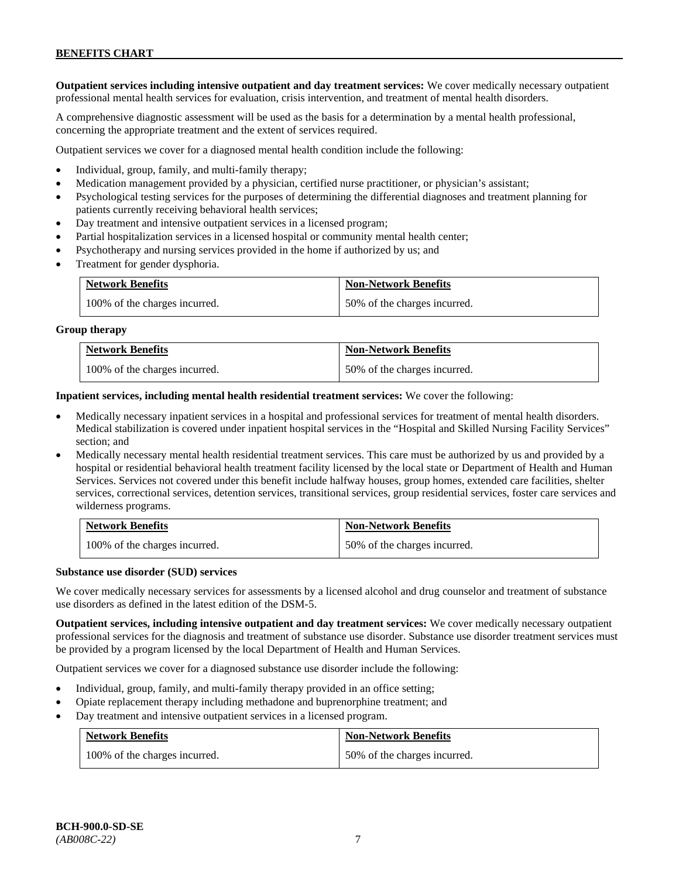**Outpatient services including intensive outpatient and day treatment services:** We cover medically necessary outpatient professional mental health services for evaluation, crisis intervention, and treatment of mental health disorders.

A comprehensive diagnostic assessment will be used as the basis for a determination by a mental health professional, concerning the appropriate treatment and the extent of services required.

Outpatient services we cover for a diagnosed mental health condition include the following:

- Individual, group, family, and multi-family therapy;
- Medication management provided by a physician, certified nurse practitioner, or physician's assistant;
- Psychological testing services for the purposes of determining the differential diagnoses and treatment planning for patients currently receiving behavioral health services;
- Day treatment and intensive outpatient services in a licensed program;
- Partial hospitalization services in a licensed hospital or community mental health center;
- Psychotherapy and nursing services provided in the home if authorized by us; and
- Treatment for gender dysphoria.

| <b>Network Benefits</b>       | <b>Non-Network Benefits</b>  |
|-------------------------------|------------------------------|
| 100% of the charges incurred. | 50% of the charges incurred. |

#### **Group therapy**

| <b>Network Benefits</b>       | <b>Non-Network Benefits</b>  |
|-------------------------------|------------------------------|
| 100% of the charges incurred. | 50% of the charges incurred. |

**Inpatient services, including mental health residential treatment services:** We cover the following:

- Medically necessary inpatient services in a hospital and professional services for treatment of mental health disorders. Medical stabilization is covered under inpatient hospital services in the "Hospital and Skilled Nursing Facility Services" section; and
- Medically necessary mental health residential treatment services. This care must be authorized by us and provided by a hospital or residential behavioral health treatment facility licensed by the local state or Department of Health and Human Services. Services not covered under this benefit include halfway houses, group homes, extended care facilities, shelter services, correctional services, detention services, transitional services, group residential services, foster care services and wilderness programs.

| <b>Network Benefits</b>       | <b>Non-Network Benefits</b>  |
|-------------------------------|------------------------------|
| 100% of the charges incurred. | 50% of the charges incurred. |

#### **Substance use disorder (SUD) services**

We cover medically necessary services for assessments by a licensed alcohol and drug counselor and treatment of substance use disorders as defined in the latest edition of the DSM-5.

**Outpatient services, including intensive outpatient and day treatment services:** We cover medically necessary outpatient professional services for the diagnosis and treatment of substance use disorder. Substance use disorder treatment services must be provided by a program licensed by the local Department of Health and Human Services.

Outpatient services we cover for a diagnosed substance use disorder include the following:

- Individual, group, family, and multi-family therapy provided in an office setting;
- Opiate replacement therapy including methadone and buprenorphine treatment; and
- Day treatment and intensive outpatient services in a licensed program.

| <b>Network Benefits</b>       | <b>Non-Network Benefits</b>  |
|-------------------------------|------------------------------|
| 100% of the charges incurred. | 50% of the charges incurred. |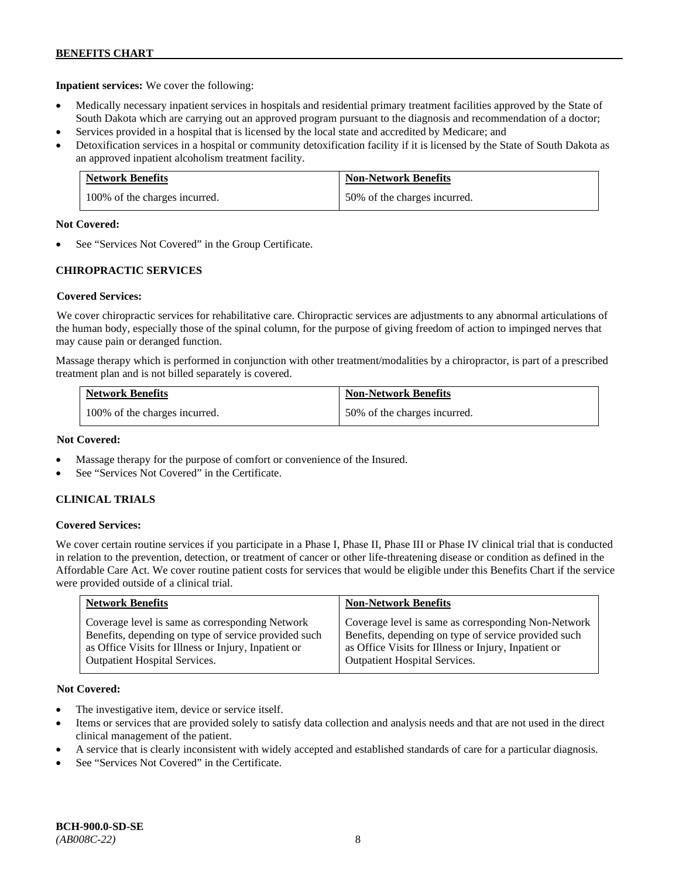**Inpatient services:** We cover the following:

- Medically necessary inpatient services in hospitals and residential primary treatment facilities approved by the State of South Dakota which are carrying out an approved program pursuant to the diagnosis and recommendation of a doctor;
- Services provided in a hospital that is licensed by the local state and accredited by Medicare; and
- Detoxification services in a hospital or community detoxification facility if it is licensed by the State of South Dakota as an approved inpatient alcoholism treatment facility.

| <b>Network Benefits</b>       | <b>Non-Network Benefits</b>  |
|-------------------------------|------------------------------|
| 100% of the charges incurred. | 50% of the charges incurred. |

### **Not Covered:**

See "Services Not Covered" in the Group Certificate.

# **CHIROPRACTIC SERVICES**

### **Covered Services:**

We cover chiropractic services for rehabilitative care. Chiropractic services are adjustments to any abnormal articulations of the human body, especially those of the spinal column, for the purpose of giving freedom of action to impinged nerves that may cause pain or deranged function.

Massage therapy which is performed in conjunction with other treatment/modalities by a chiropractor, is part of a prescribed treatment plan and is not billed separately is covered.

| <b>Network Benefits</b>       | <b>Non-Network Benefits</b>  |
|-------------------------------|------------------------------|
| 100% of the charges incurred. | 50% of the charges incurred. |

### **Not Covered:**

- Massage therapy for the purpose of comfort or convenience of the Insured.
- See "Services Not Covered" in the Certificate.

### **CLINICAL TRIALS**

### **Covered Services:**

We cover certain routine services if you participate in a Phase I, Phase II, Phase III or Phase IV clinical trial that is conducted in relation to the prevention, detection, or treatment of cancer or other life-threatening disease or condition as defined in the Affordable Care Act. We cover routine patient costs for services that would be eligible under this Benefits Chart if the service were provided outside of a clinical trial.

| <b>Network Benefits</b>                              | <b>Non-Network Benefits</b>                          |
|------------------------------------------------------|------------------------------------------------------|
| Coverage level is same as corresponding Network      | Coverage level is same as corresponding Non-Network  |
| Benefits, depending on type of service provided such | Benefits, depending on type of service provided such |
| as Office Visits for Illness or Injury, Inpatient or | as Office Visits for Illness or Injury, Inpatient or |
| <b>Outpatient Hospital Services.</b>                 | Outpatient Hospital Services.                        |

### **Not Covered:**

- The investigative item, device or service itself.
- Items or services that are provided solely to satisfy data collection and analysis needs and that are not used in the direct clinical management of the patient.
- A service that is clearly inconsistent with widely accepted and established standards of care for a particular diagnosis.
- See "Services Not Covered" in the Certificate.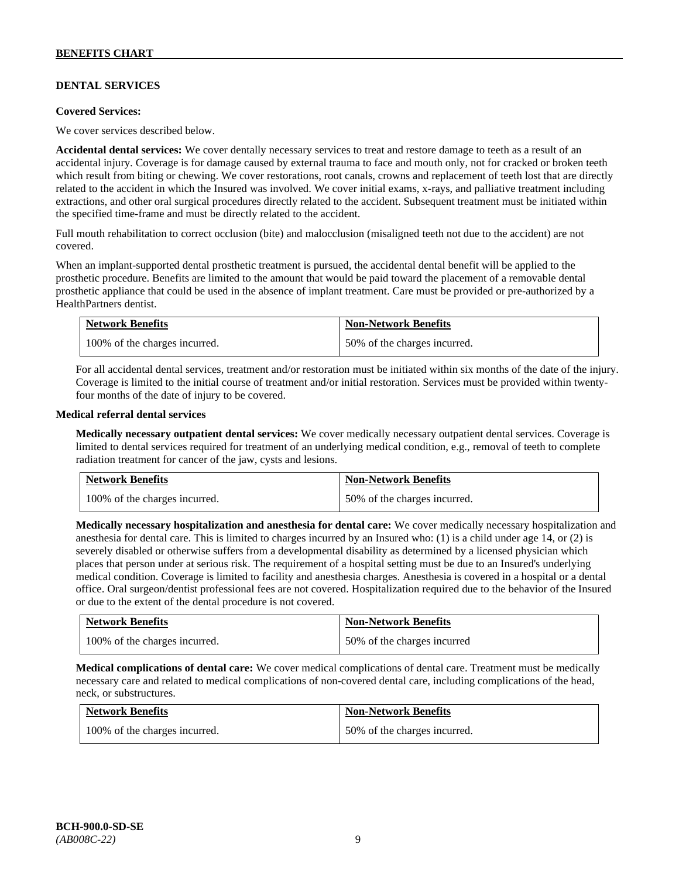# **DENTAL SERVICES**

#### **Covered Services:**

We cover services described below.

**Accidental dental services:** We cover dentally necessary services to treat and restore damage to teeth as a result of an accidental injury. Coverage is for damage caused by external trauma to face and mouth only, not for cracked or broken teeth which result from biting or chewing. We cover restorations, root canals, crowns and replacement of teeth lost that are directly related to the accident in which the Insured was involved. We cover initial exams, x-rays, and palliative treatment including extractions, and other oral surgical procedures directly related to the accident. Subsequent treatment must be initiated within the specified time-frame and must be directly related to the accident.

Full mouth rehabilitation to correct occlusion (bite) and malocclusion (misaligned teeth not due to the accident) are not covered.

When an implant-supported dental prosthetic treatment is pursued, the accidental dental benefit will be applied to the prosthetic procedure. Benefits are limited to the amount that would be paid toward the placement of a removable dental prosthetic appliance that could be used in the absence of implant treatment. Care must be provided or pre-authorized by a HealthPartners dentist.

| <b>Network Benefits</b>       | <b>Non-Network Benefits</b>  |
|-------------------------------|------------------------------|
| 100% of the charges incurred. | 50% of the charges incurred. |

For all accidental dental services, treatment and/or restoration must be initiated within six months of the date of the injury. Coverage is limited to the initial course of treatment and/or initial restoration. Services must be provided within twentyfour months of the date of injury to be covered.

### **Medical referral dental services**

**Medically necessary outpatient dental services:** We cover medically necessary outpatient dental services. Coverage is limited to dental services required for treatment of an underlying medical condition, e.g., removal of teeth to complete radiation treatment for cancer of the jaw, cysts and lesions.

| <b>Network Benefits</b>       | <b>Non-Network Benefits</b>  |
|-------------------------------|------------------------------|
| 100% of the charges incurred. | 50% of the charges incurred. |

**Medically necessary hospitalization and anesthesia for dental care:** We cover medically necessary hospitalization and anesthesia for dental care. This is limited to charges incurred by an Insured who: (1) is a child under age 14, or (2) is severely disabled or otherwise suffers from a developmental disability as determined by a licensed physician which places that person under at serious risk. The requirement of a hospital setting must be due to an Insured's underlying medical condition. Coverage is limited to facility and anesthesia charges. Anesthesia is covered in a hospital or a dental office. Oral surgeon/dentist professional fees are not covered. Hospitalization required due to the behavior of the Insured or due to the extent of the dental procedure is not covered.

| <b>Network Benefits</b>       | <b>Non-Network Benefits</b> |
|-------------------------------|-----------------------------|
| 100% of the charges incurred. | 50% of the charges incurred |

**Medical complications of dental care:** We cover medical complications of dental care. Treatment must be medically necessary care and related to medical complications of non-covered dental care, including complications of the head, neck, or substructures.

| <b>Network Benefits</b>       | <b>Non-Network Benefits</b>  |
|-------------------------------|------------------------------|
| 100% of the charges incurred. | 50% of the charges incurred. |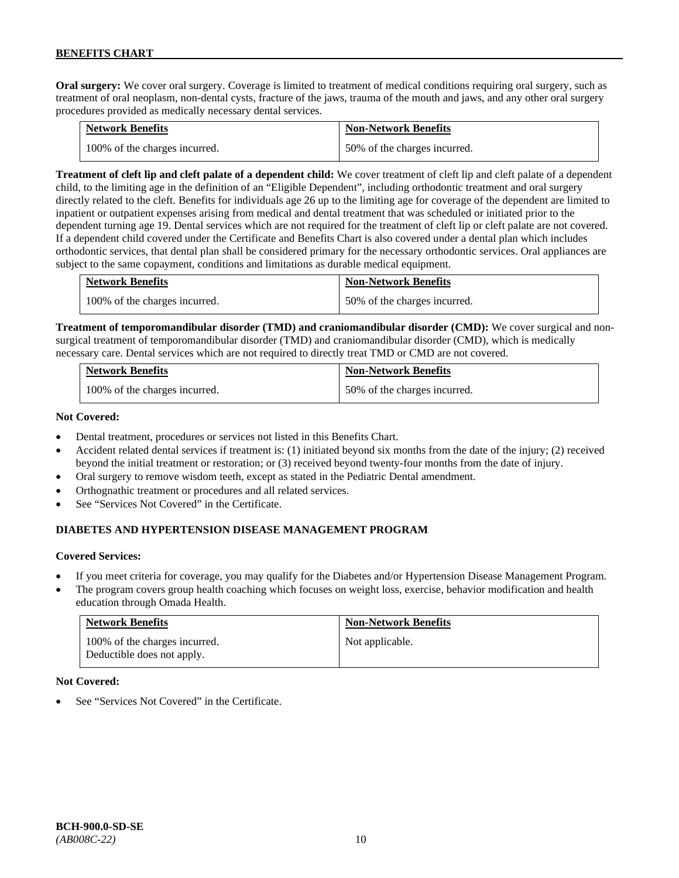**Oral surgery:** We cover oral surgery. Coverage is limited to treatment of medical conditions requiring oral surgery, such as treatment of oral neoplasm, non-dental cysts, fracture of the jaws, trauma of the mouth and jaws, and any other oral surgery procedures provided as medically necessary dental services.

| <b>Network Benefits</b>       | <b>Non-Network Benefits</b>  |
|-------------------------------|------------------------------|
| 100% of the charges incurred. | 50% of the charges incurred. |

**Treatment of cleft lip and cleft palate of a dependent child:** We cover treatment of cleft lip and cleft palate of a dependent child, to the limiting age in the definition of an "Eligible Dependent", including orthodontic treatment and oral surgery directly related to the cleft. Benefits for individuals age 26 up to the limiting age for coverage of the dependent are limited to inpatient or outpatient expenses arising from medical and dental treatment that was scheduled or initiated prior to the dependent turning age 19. Dental services which are not required for the treatment of cleft lip or cleft palate are not covered. If a dependent child covered under the Certificate and Benefits Chart is also covered under a dental plan which includes orthodontic services, that dental plan shall be considered primary for the necessary orthodontic services. Oral appliances are subject to the same copayment, conditions and limitations as durable medical equipment.

| <b>Network Benefits</b>       | <b>Non-Network Benefits</b>  |
|-------------------------------|------------------------------|
| 100% of the charges incurred. | 50% of the charges incurred. |

**Treatment of temporomandibular disorder (TMD) and craniomandibular disorder (CMD):** We cover surgical and nonsurgical treatment of temporomandibular disorder (TMD) and craniomandibular disorder (CMD), which is medically necessary care. Dental services which are not required to directly treat TMD or CMD are not covered.

| <b>Network Benefits</b>       | <b>Non-Network Benefits</b>  |
|-------------------------------|------------------------------|
| 100% of the charges incurred. | 50% of the charges incurred. |

### **Not Covered:**

- Dental treatment, procedures or services not listed in this Benefits Chart.
- Accident related dental services if treatment is: (1) initiated beyond six months from the date of the injury; (2) received beyond the initial treatment or restoration; or (3) received beyond twenty-four months from the date of injury.
- Oral surgery to remove wisdom teeth, except as stated in the Pediatric Dental amendment.
- Orthognathic treatment or procedures and all related services.
- See "Services Not Covered" in the Certificate.

# **DIABETES AND HYPERTENSION DISEASE MANAGEMENT PROGRAM**

### **Covered Services:**

- If you meet criteria for coverage, you may qualify for the Diabetes and/or Hypertension Disease Management Program.
- The program covers group health coaching which focuses on weight loss, exercise, behavior modification and health education through Omada Health.

| <b>Network Benefits</b>                                     | <b>Non-Network Benefits</b> |
|-------------------------------------------------------------|-----------------------------|
| 100% of the charges incurred.<br>Deductible does not apply. | Not applicable.             |

#### **Not Covered:**

See "Services Not Covered" in the Certificate.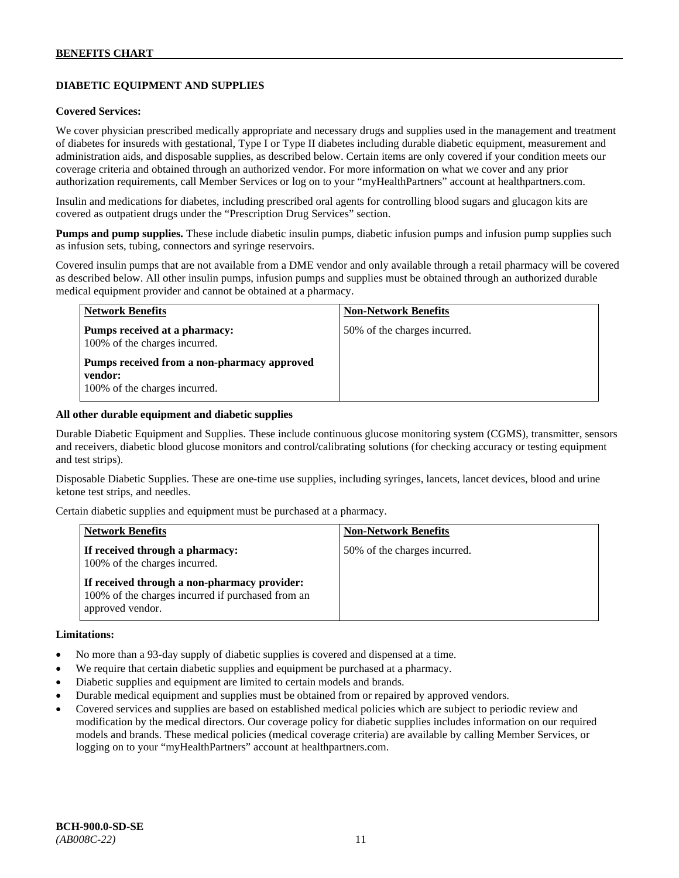# **DIABETIC EQUIPMENT AND SUPPLIES**

### **Covered Services:**

We cover physician prescribed medically appropriate and necessary drugs and supplies used in the management and treatment of diabetes for insureds with gestational, Type I or Type II diabetes including durable diabetic equipment, measurement and administration aids, and disposable supplies, as described below. Certain items are only covered if your condition meets our coverage criteria and obtained through an authorized vendor. For more information on what we cover and any prior authorization requirements, call Member Services or log on to your "myHealthPartners" account at [healthpartners.com.](http://www.healthpartners.com/)

Insulin and medications for diabetes, including prescribed oral agents for controlling blood sugars and glucagon kits are covered as outpatient drugs under the "Prescription Drug Services" section.

**Pumps and pump supplies.** These include diabetic insulin pumps, diabetic infusion pumps and infusion pump supplies such as infusion sets, tubing, connectors and syringe reservoirs.

Covered insulin pumps that are not available from a DME vendor and only available through a retail pharmacy will be covered as described below. All other insulin pumps, infusion pumps and supplies must be obtained through an authorized durable medical equipment provider and cannot be obtained at a pharmacy.

| <b>Network Benefits</b>                                                                 | <b>Non-Network Benefits</b>  |
|-----------------------------------------------------------------------------------------|------------------------------|
| Pumps received at a pharmacy:<br>100% of the charges incurred.                          | 50% of the charges incurred. |
| Pumps received from a non-pharmacy approved<br>vendor:<br>100% of the charges incurred. |                              |

#### **All other durable equipment and diabetic supplies**

Durable Diabetic Equipment and Supplies. These include continuous glucose monitoring system (CGMS), transmitter, sensors and receivers, diabetic blood glucose monitors and control/calibrating solutions (for checking accuracy or testing equipment and test strips).

Disposable Diabetic Supplies. These are one-time use supplies, including syringes, lancets, lancet devices, blood and urine ketone test strips, and needles.

Certain diabetic supplies and equipment must be purchased at a pharmacy.

| <b>Network Benefits</b>                                                                                               | <b>Non-Network Benefits</b>  |
|-----------------------------------------------------------------------------------------------------------------------|------------------------------|
| If received through a pharmacy:<br>100% of the charges incurred.                                                      | 50% of the charges incurred. |
| If received through a non-pharmacy provider:<br>100% of the charges incurred if purchased from an<br>approved vendor. |                              |

#### **Limitations:**

- No more than a 93-day supply of diabetic supplies is covered and dispensed at a time.
- We require that certain diabetic supplies and equipment be purchased at a pharmacy.
- Diabetic supplies and equipment are limited to certain models and brands.
- Durable medical equipment and supplies must be obtained from or repaired by approved vendors.
- Covered services and supplies are based on established medical policies which are subject to periodic review and modification by the medical directors. Our coverage policy for diabetic supplies includes information on our required models and brands. These medical policies (medical coverage criteria) are available by calling Member Services, or logging on to your "myHealthPartners" account at [healthpartners.com.](http://www.healthpartners.com/)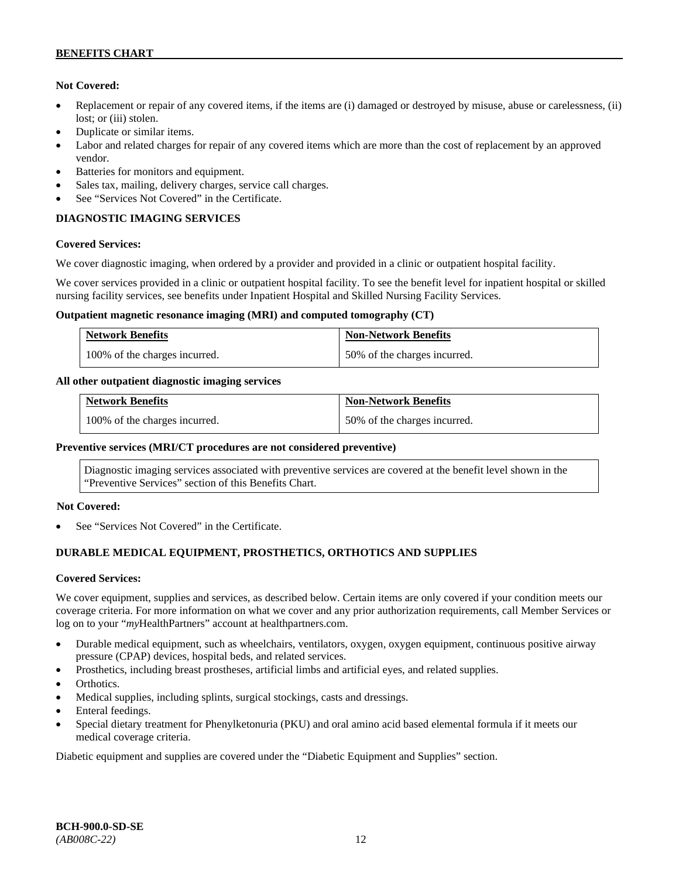### **Not Covered:**

- Replacement or repair of any covered items, if the items are (i) damaged or destroyed by misuse, abuse or carelessness, (ii) lost; or (iii) stolen.
- Duplicate or similar items.
- Labor and related charges for repair of any covered items which are more than the cost of replacement by an approved vendor.
- Batteries for monitors and equipment.
- Sales tax, mailing, delivery charges, service call charges.
- See "Services Not Covered" in the Certificate.

# **DIAGNOSTIC IMAGING SERVICES**

### **Covered Services:**

We cover diagnostic imaging, when ordered by a provider and provided in a clinic or outpatient hospital facility.

We cover services provided in a clinic or outpatient hospital facility. To see the benefit level for inpatient hospital or skilled nursing facility services, see benefits under Inpatient Hospital and Skilled Nursing Facility Services.

### **Outpatient magnetic resonance imaging (MRI) and computed tomography (CT)**

| <b>Network Benefits</b>       | <b>Non-Network Benefits</b>  |
|-------------------------------|------------------------------|
| 100% of the charges incurred. | 50% of the charges incurred. |

### **All other outpatient diagnostic imaging services**

| <b>Network Benefits</b>       | <b>Non-Network Benefits</b>  |
|-------------------------------|------------------------------|
| 100% of the charges incurred. | 50% of the charges incurred. |

### **Preventive services (MRI/CT procedures are not considered preventive)**

Diagnostic imaging services associated with preventive services are covered at the benefit level shown in the "Preventive Services" section of this Benefits Chart.

### **Not Covered:**

See "Services Not Covered" in the Certificate.

# **DURABLE MEDICAL EQUIPMENT, PROSTHETICS, ORTHOTICS AND SUPPLIES**

### **Covered Services:**

We cover equipment, supplies and services, as described below. Certain items are only covered if your condition meets our coverage criteria. For more information on what we cover and any prior authorization requirements, call Member Services or log on to your "*my*HealthPartners" account at [healthpartners.com.](http://healthpartners.com/)

- Durable medical equipment, such as wheelchairs, ventilators, oxygen, oxygen equipment, continuous positive airway pressure (CPAP) devices, hospital beds, and related services.
- Prosthetics, including breast prostheses, artificial limbs and artificial eyes, and related supplies.
- Orthotics.
- Medical supplies, including splints, surgical stockings, casts and dressings.
- Enteral feedings.
- Special dietary treatment for Phenylketonuria (PKU) and oral amino acid based elemental formula if it meets our medical coverage criteria.

Diabetic equipment and supplies are covered under the "Diabetic Equipment and Supplies" section.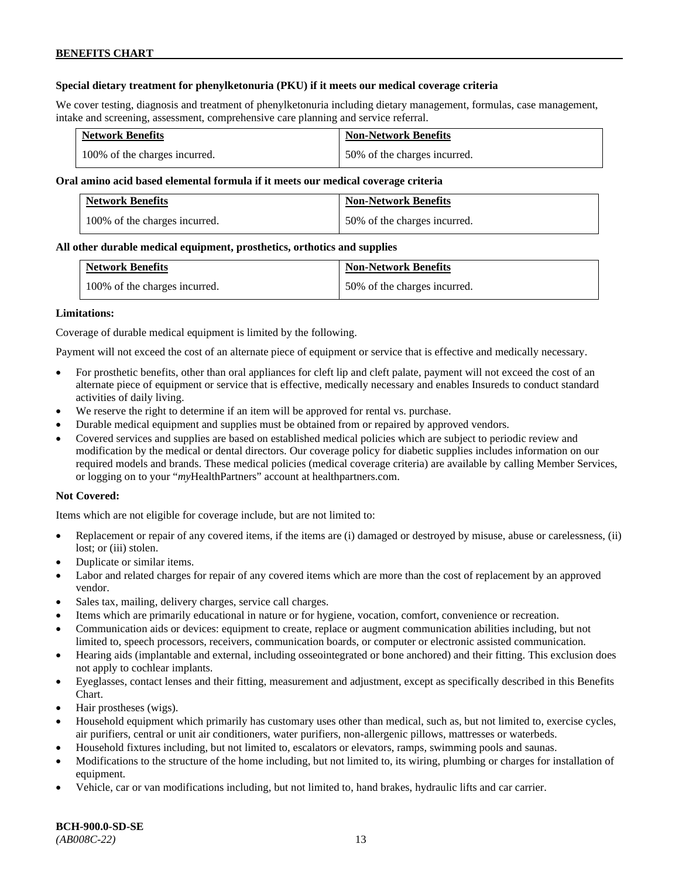### **Special dietary treatment for phenylketonuria (PKU) if it meets our medical coverage criteria**

We cover testing, diagnosis and treatment of phenylketonuria including dietary management, formulas, case management, intake and screening, assessment, comprehensive care planning and service referral.

| <b>Network Benefits</b>       | <b>Non-Network Benefits</b>  |
|-------------------------------|------------------------------|
| 100% of the charges incurred. | 50% of the charges incurred. |

### **Oral amino acid based elemental formula if it meets our medical coverage criteria**

| <b>Network Benefits</b>       | <b>Non-Network Benefits</b>  |
|-------------------------------|------------------------------|
| 100% of the charges incurred. | 50% of the charges incurred. |

### **All other durable medical equipment, prosthetics, orthotics and supplies**

| <b>Network Benefits</b>       | <b>Non-Network Benefits</b>  |
|-------------------------------|------------------------------|
| 100% of the charges incurred. | 50% of the charges incurred. |

### **Limitations:**

Coverage of durable medical equipment is limited by the following.

Payment will not exceed the cost of an alternate piece of equipment or service that is effective and medically necessary.

- For prosthetic benefits, other than oral appliances for cleft lip and cleft palate, payment will not exceed the cost of an alternate piece of equipment or service that is effective, medically necessary and enables Insureds to conduct standard activities of daily living.
- We reserve the right to determine if an item will be approved for rental vs. purchase.
- Durable medical equipment and supplies must be obtained from or repaired by approved vendors.
- Covered services and supplies are based on established medical policies which are subject to periodic review and modification by the medical or dental directors. Our coverage policy for diabetic supplies includes information on our required models and brands. These medical policies (medical coverage criteria) are available by calling Member Services, or logging on to your "*my*HealthPartners" account at [healthpartners.com.](http://www.healthpartners.com/)

### **Not Covered:**

Items which are not eligible for coverage include, but are not limited to:

- Replacement or repair of any covered items, if the items are (i) damaged or destroyed by misuse, abuse or carelessness, (ii) lost; or (iii) stolen.
- Duplicate or similar items.
- Labor and related charges for repair of any covered items which are more than the cost of replacement by an approved vendor.
- Sales tax, mailing, delivery charges, service call charges.
- Items which are primarily educational in nature or for hygiene, vocation, comfort, convenience or recreation.
- Communication aids or devices: equipment to create, replace or augment communication abilities including, but not limited to, speech processors, receivers, communication boards, or computer or electronic assisted communication.
- Hearing aids (implantable and external, including osseointegrated or bone anchored) and their fitting. This exclusion does not apply to cochlear implants.
- Eyeglasses, contact lenses and their fitting, measurement and adjustment, except as specifically described in this Benefits Chart.
- Hair prostheses (wigs).
- Household equipment which primarily has customary uses other than medical, such as, but not limited to, exercise cycles, air purifiers, central or unit air conditioners, water purifiers, non-allergenic pillows, mattresses or waterbeds.
- Household fixtures including, but not limited to, escalators or elevators, ramps, swimming pools and saunas.
- Modifications to the structure of the home including, but not limited to, its wiring, plumbing or charges for installation of equipment.
- Vehicle, car or van modifications including, but not limited to, hand brakes, hydraulic lifts and car carrier.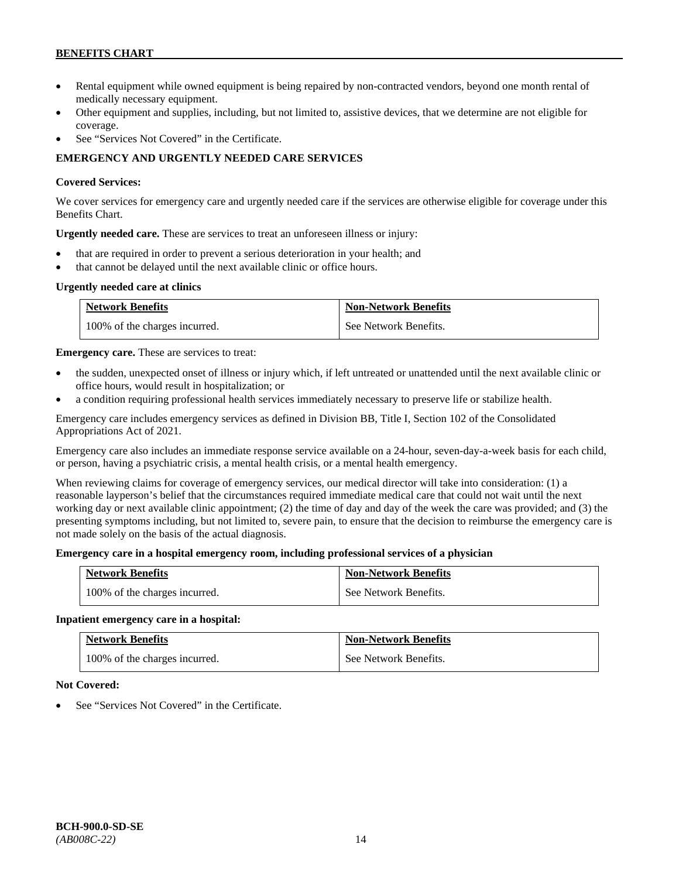- Rental equipment while owned equipment is being repaired by non-contracted vendors, beyond one month rental of medically necessary equipment.
- Other equipment and supplies, including, but not limited to, assistive devices, that we determine are not eligible for coverage.
- See "Services Not Covered" in the Certificate.

# **EMERGENCY AND URGENTLY NEEDED CARE SERVICES**

### **Covered Services:**

We cover services for emergency care and urgently needed care if the services are otherwise eligible for coverage under this Benefits Chart.

**Urgently needed care.** These are services to treat an unforeseen illness or injury:

- that are required in order to prevent a serious deterioration in your health; and
- that cannot be delayed until the next available clinic or office hours.

### **Urgently needed care at clinics**

| <b>Network Benefits</b>       | <b>Non-Network Benefits</b> |
|-------------------------------|-----------------------------|
| 100% of the charges incurred. | See Network Benefits.       |

**Emergency care.** These are services to treat:

- the sudden, unexpected onset of illness or injury which, if left untreated or unattended until the next available clinic or office hours, would result in hospitalization; or
- a condition requiring professional health services immediately necessary to preserve life or stabilize health.

Emergency care includes emergency services as defined in Division BB, Title I, Section 102 of the Consolidated Appropriations Act of 2021.

Emergency care also includes an immediate response service available on a 24-hour, seven-day-a-week basis for each child, or person, having a psychiatric crisis, a mental health crisis, or a mental health emergency.

When reviewing claims for coverage of emergency services, our medical director will take into consideration: (1) a reasonable layperson's belief that the circumstances required immediate medical care that could not wait until the next working day or next available clinic appointment; (2) the time of day and day of the week the care was provided; and (3) the presenting symptoms including, but not limited to, severe pain, to ensure that the decision to reimburse the emergency care is not made solely on the basis of the actual diagnosis.

### **Emergency care in a hospital emergency room, including professional services of a physician**

| <b>Network Benefits</b>       | <b>Non-Network Benefits</b> |
|-------------------------------|-----------------------------|
| 100% of the charges incurred. | See Network Benefits.       |

### **Inpatient emergency care in a hospital:**

| <b>Network Benefits</b>       | <b>Non-Network Benefits</b> |
|-------------------------------|-----------------------------|
| 100% of the charges incurred. | See Network Benefits.       |

### **Not Covered:**

See "Services Not Covered" in the Certificate.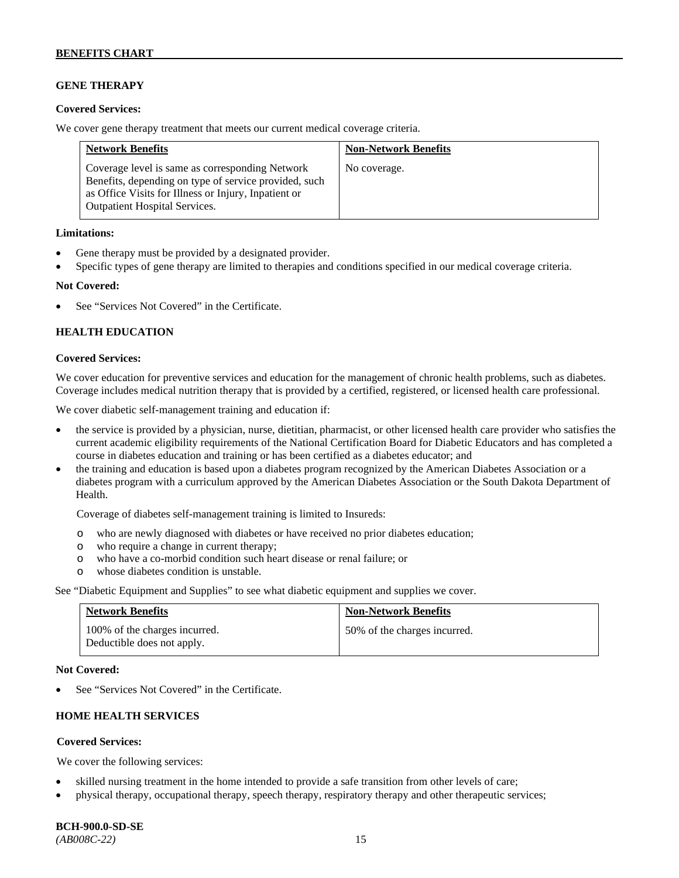# **GENE THERAPY**

### **Covered Services:**

We cover gene therapy treatment that meets our current medical coverage criteria.

| <b>Network Benefits</b>                                                                                                                                                                                  | <b>Non-Network Benefits</b> |
|----------------------------------------------------------------------------------------------------------------------------------------------------------------------------------------------------------|-----------------------------|
| Coverage level is same as corresponding Network<br>Benefits, depending on type of service provided, such<br>as Office Visits for Illness or Injury, Inpatient or<br><b>Outpatient Hospital Services.</b> | No coverage.                |

### **Limitations:**

- Gene therapy must be provided by a designated provider.
- Specific types of gene therapy are limited to therapies and conditions specified in our medical coverage criteria.

### **Not Covered:**

See "Services Not Covered" in the Certificate.

### **HEALTH EDUCATION**

### **Covered Services:**

We cover education for preventive services and education for the management of chronic health problems, such as diabetes. Coverage includes medical nutrition therapy that is provided by a certified, registered, or licensed health care professional.

We cover diabetic self-management training and education if:

- the service is provided by a physician, nurse, dietitian, pharmacist, or other licensed health care provider who satisfies the current academic eligibility requirements of the National Certification Board for Diabetic Educators and has completed a course in diabetes education and training or has been certified as a diabetes educator; and
- the training and education is based upon a diabetes program recognized by the American Diabetes Association or a diabetes program with a curriculum approved by the American Diabetes Association or the South Dakota Department of Health.

Coverage of diabetes self-management training is limited to Insureds:

- o who are newly diagnosed with diabetes or have received no prior diabetes education;
- o who require a change in current therapy;<br>o who have a co-morbid condition such heal
- who have a co-morbid condition such heart disease or renal failure; or
- o whose diabetes condition is unstable.

See "Diabetic Equipment and Supplies" to see what diabetic equipment and supplies we cover.

| <b>Network Benefits</b>                                     | <b>Non-Network Benefits</b>  |
|-------------------------------------------------------------|------------------------------|
| 100% of the charges incurred.<br>Deductible does not apply. | 50% of the charges incurred. |

#### **Not Covered:**

See "Services Not Covered" in the Certificate.

# **HOME HEALTH SERVICES**

### **Covered Services:**

We cover the following services:

- skilled nursing treatment in the home intended to provide a safe transition from other levels of care;
- physical therapy, occupational therapy, speech therapy, respiratory therapy and other therapeutic services;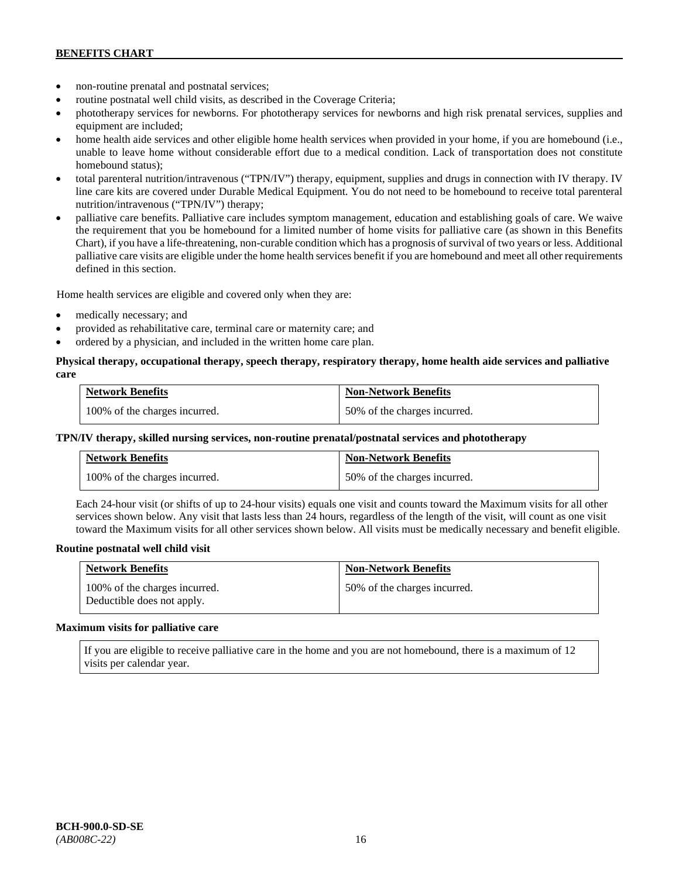- non-routine prenatal and postnatal services;
- routine postnatal well child visits, as described in the Coverage Criteria;
- phototherapy services for newborns. For phototherapy services for newborns and high risk prenatal services, supplies and equipment are included;
- home health aide services and other eligible home health services when provided in your home, if you are homebound (i.e., unable to leave home without considerable effort due to a medical condition. Lack of transportation does not constitute homebound status);
- total parenteral nutrition/intravenous ("TPN/IV") therapy, equipment, supplies and drugs in connection with IV therapy. IV line care kits are covered under Durable Medical Equipment. You do not need to be homebound to receive total parenteral nutrition/intravenous ("TPN/IV") therapy;
- palliative care benefits. Palliative care includes symptom management, education and establishing goals of care. We waive the requirement that you be homebound for a limited number of home visits for palliative care (as shown in this Benefits Chart), if you have a life-threatening, non-curable condition which has a prognosis of survival of two years or less. Additional palliative care visits are eligible under the home health services benefit if you are homebound and meet all other requirements defined in this section.

Home health services are eligible and covered only when they are:

- medically necessary; and
- provided as rehabilitative care, terminal care or maternity care; and
- ordered by a physician, and included in the written home care plan.

### **Physical therapy, occupational therapy, speech therapy, respiratory therapy, home health aide services and palliative care**

| <b>Network Benefits</b>       | <b>Non-Network Benefits</b>  |
|-------------------------------|------------------------------|
| 100% of the charges incurred. | 50% of the charges incurred. |

### **TPN/IV therapy, skilled nursing services, non-routine prenatal/postnatal services and phototherapy**

| <b>Network Benefits</b>       | <b>Non-Network Benefits</b>  |
|-------------------------------|------------------------------|
| 100% of the charges incurred. | 50% of the charges incurred. |

Each 24-hour visit (or shifts of up to 24-hour visits) equals one visit and counts toward the Maximum visits for all other services shown below. Any visit that lasts less than 24 hours, regardless of the length of the visit, will count as one visit toward the Maximum visits for all other services shown below. All visits must be medically necessary and benefit eligible.

#### **Routine postnatal well child visit**

| <b>Network Benefits</b>                                     | <b>Non-Network Benefits</b>  |
|-------------------------------------------------------------|------------------------------|
| 100% of the charges incurred.<br>Deductible does not apply. | 50% of the charges incurred. |

#### **Maximum visits for palliative care**

If you are eligible to receive palliative care in the home and you are not homebound, there is a maximum of 12 visits per calendar year.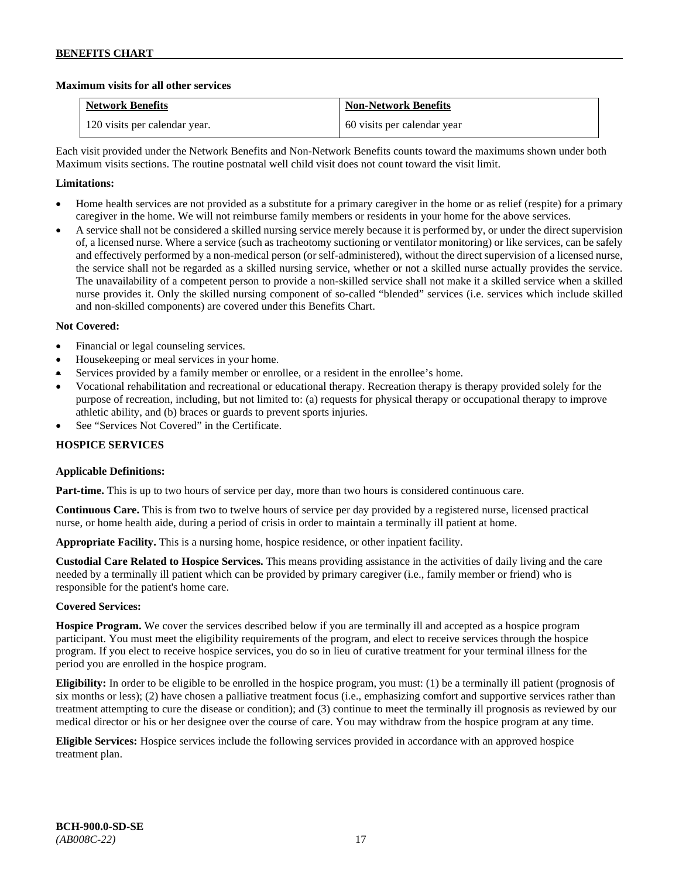### **Maximum visits for all other services**

| <b>Network Benefits</b>       | <b>Non-Network Benefits</b> |
|-------------------------------|-----------------------------|
| 120 visits per calendar year. | 60 visits per calendar year |

Each visit provided under the Network Benefits and Non-Network Benefits counts toward the maximums shown under both Maximum visits sections. The routine postnatal well child visit does not count toward the visit limit.

### **Limitations:**

- Home health services are not provided as a substitute for a primary caregiver in the home or as relief (respite) for a primary caregiver in the home. We will not reimburse family members or residents in your home for the above services.
- A service shall not be considered a skilled nursing service merely because it is performed by, or under the direct supervision of, a licensed nurse. Where a service (such as tracheotomy suctioning or ventilator monitoring) or like services, can be safely and effectively performed by a non-medical person (or self-administered), without the direct supervision of a licensed nurse, the service shall not be regarded as a skilled nursing service, whether or not a skilled nurse actually provides the service. The unavailability of a competent person to provide a non-skilled service shall not make it a skilled service when a skilled nurse provides it. Only the skilled nursing component of so-called "blended" services (i.e. services which include skilled and non-skilled components) are covered under this Benefits Chart.

### **Not Covered:**

- Financial or legal counseling services.
- Housekeeping or meal services in your home.
- Services provided by a family member or enrollee, or a resident in the enrollee's home.
- Vocational rehabilitation and recreational or educational therapy. Recreation therapy is therapy provided solely for the purpose of recreation, including, but not limited to: (a) requests for physical therapy or occupational therapy to improve athletic ability, and (b) braces or guards to prevent sports injuries.
- See "Services Not Covered" in the Certificate.

### **HOSPICE SERVICES**

### **Applicable Definitions:**

**Part-time.** This is up to two hours of service per day, more than two hours is considered continuous care.

**Continuous Care.** This is from two to twelve hours of service per day provided by a registered nurse, licensed practical nurse, or home health aide, during a period of crisis in order to maintain a terminally ill patient at home.

**Appropriate Facility.** This is a nursing home, hospice residence, or other inpatient facility.

**Custodial Care Related to Hospice Services.** This means providing assistance in the activities of daily living and the care needed by a terminally ill patient which can be provided by primary caregiver (i.e., family member or friend) who is responsible for the patient's home care.

### **Covered Services:**

**Hospice Program.** We cover the services described below if you are terminally ill and accepted as a hospice program participant. You must meet the eligibility requirements of the program, and elect to receive services through the hospice program. If you elect to receive hospice services, you do so in lieu of curative treatment for your terminal illness for the period you are enrolled in the hospice program.

**Eligibility:** In order to be eligible to be enrolled in the hospice program, you must: (1) be a terminally ill patient (prognosis of six months or less); (2) have chosen a palliative treatment focus (i.e., emphasizing comfort and supportive services rather than treatment attempting to cure the disease or condition); and (3) continue to meet the terminally ill prognosis as reviewed by our medical director or his or her designee over the course of care. You may withdraw from the hospice program at any time.

**Eligible Services:** Hospice services include the following services provided in accordance with an approved hospice treatment plan.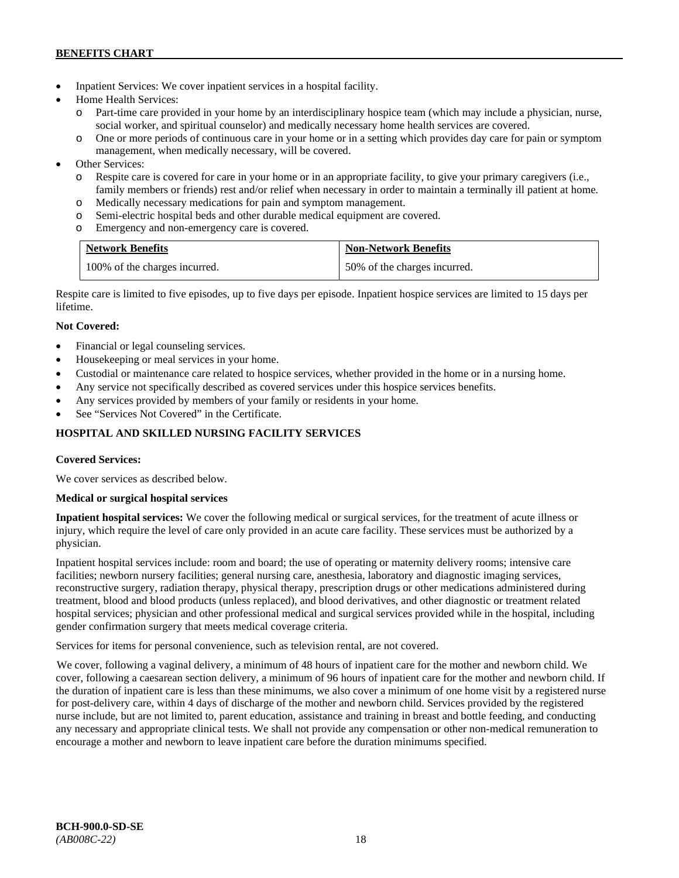- Inpatient Services: We cover inpatient services in a hospital facility.
- Home Health Services:
	- o Part-time care provided in your home by an interdisciplinary hospice team (which may include a physician, nurse, social worker, and spiritual counselor) and medically necessary home health services are covered.
	- o One or more periods of continuous care in your home or in a setting which provides day care for pain or symptom management, when medically necessary, will be covered.
- Other Services:
	- o Respite care is covered for care in your home or in an appropriate facility, to give your primary caregivers (i.e., family members or friends) rest and/or relief when necessary in order to maintain a terminally ill patient at home*.*
	- o Medically necessary medications for pain and symptom management.
	- o Semi-electric hospital beds and other durable medical equipment are covered.
	- o Emergency and non-emergency care is covered.

| <b>Network Benefits</b>       | <b>Non-Network Benefits</b>  |
|-------------------------------|------------------------------|
| 100% of the charges incurred. | 50% of the charges incurred. |

Respite care is limited to five episodes, up to five days per episode. Inpatient hospice services are limited to 15 days per lifetime.

# **Not Covered:**

- Financial or legal counseling services.
- Housekeeping or meal services in your home.
- Custodial or maintenance care related to hospice services, whether provided in the home or in a nursing home.
- Any service not specifically described as covered services under this hospice services benefits.
- Any services provided by members of your family or residents in your home.
- See "Services Not Covered" in the Certificate.

# **HOSPITAL AND SKILLED NURSING FACILITY SERVICES**

### **Covered Services:**

We cover services as described below.

### **Medical or surgical hospital services**

**Inpatient hospital services:** We cover the following medical or surgical services, for the treatment of acute illness or injury, which require the level of care only provided in an acute care facility. These services must be authorized by a physician.

Inpatient hospital services include: room and board; the use of operating or maternity delivery rooms; intensive care facilities; newborn nursery facilities; general nursing care, anesthesia, laboratory and diagnostic imaging services, reconstructive surgery, radiation therapy, physical therapy, prescription drugs or other medications administered during treatment, blood and blood products (unless replaced), and blood derivatives, and other diagnostic or treatment related hospital services; physician and other professional medical and surgical services provided while in the hospital, including gender confirmation surgery that meets medical coverage criteria.

Services for items for personal convenience, such as television rental, are not covered.

We cover, following a vaginal delivery, a minimum of 48 hours of inpatient care for the mother and newborn child. We cover, following a caesarean section delivery, a minimum of 96 hours of inpatient care for the mother and newborn child. If the duration of inpatient care is less than these minimums, we also cover a minimum of one home visit by a registered nurse for post-delivery care, within 4 days of discharge of the mother and newborn child. Services provided by the registered nurse include, but are not limited to, parent education, assistance and training in breast and bottle feeding, and conducting any necessary and appropriate clinical tests. We shall not provide any compensation or other non-medical remuneration to encourage a mother and newborn to leave inpatient care before the duration minimums specified.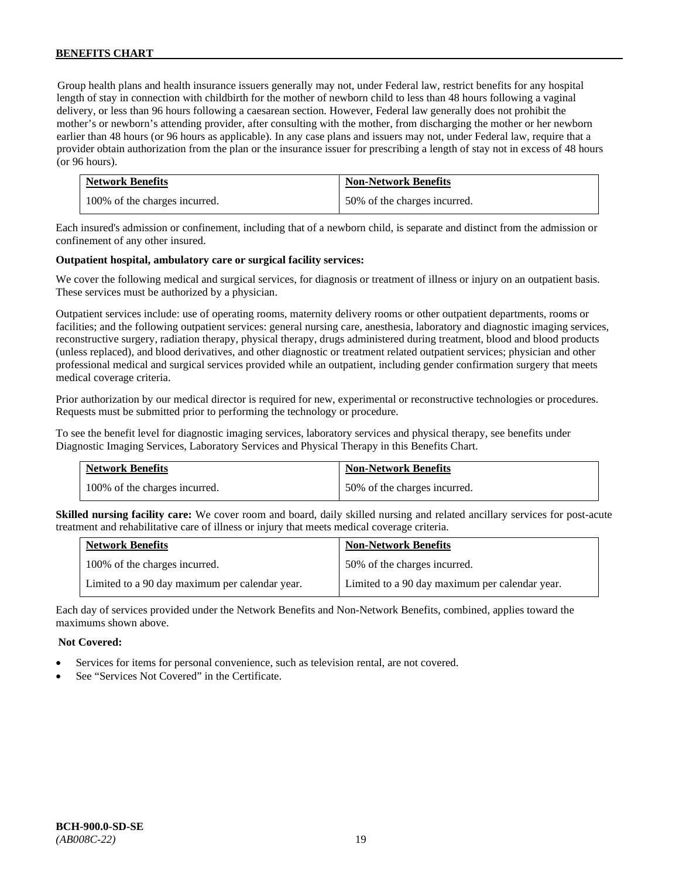Group health plans and health insurance issuers generally may not, under Federal law, restrict benefits for any hospital length of stay in connection with childbirth for the mother of newborn child to less than 48 hours following a vaginal delivery, or less than 96 hours following a caesarean section. However, Federal law generally does not prohibit the mother's or newborn's attending provider, after consulting with the mother, from discharging the mother or her newborn earlier than 48 hours (or 96 hours as applicable). In any case plans and issuers may not, under Federal law, require that a provider obtain authorization from the plan or the insurance issuer for prescribing a length of stay not in excess of 48 hours (or 96 hours).

| <b>Network Benefits</b>       | <b>Non-Network Benefits</b>  |
|-------------------------------|------------------------------|
| 100% of the charges incurred. | 50% of the charges incurred. |

Each insured's admission or confinement, including that of a newborn child, is separate and distinct from the admission or confinement of any other insured.

### **Outpatient hospital, ambulatory care or surgical facility services:**

We cover the following medical and surgical services, for diagnosis or treatment of illness or injury on an outpatient basis. These services must be authorized by a physician.

Outpatient services include: use of operating rooms, maternity delivery rooms or other outpatient departments, rooms or facilities; and the following outpatient services: general nursing care, anesthesia, laboratory and diagnostic imaging services, reconstructive surgery, radiation therapy, physical therapy, drugs administered during treatment, blood and blood products (unless replaced), and blood derivatives, and other diagnostic or treatment related outpatient services; physician and other professional medical and surgical services provided while an outpatient, including gender confirmation surgery that meets medical coverage criteria.

Prior authorization by our medical director is required for new, experimental or reconstructive technologies or procedures. Requests must be submitted prior to performing the technology or procedure.

To see the benefit level for diagnostic imaging services, laboratory services and physical therapy, see benefits under Diagnostic Imaging Services, Laboratory Services and Physical Therapy in this Benefits Chart.

| <b>Network Benefits</b>       | <b>Non-Network Benefits</b>  |
|-------------------------------|------------------------------|
| 100% of the charges incurred. | 50% of the charges incurred. |

**Skilled nursing facility care:** We cover room and board, daily skilled nursing and related ancillary services for post-acute treatment and rehabilitative care of illness or injury that meets medical coverage criteria.

| <b>Network Benefits</b>                        | <b>Non-Network Benefits</b>                    |
|------------------------------------------------|------------------------------------------------|
| 100% of the charges incurred.                  | 50% of the charges incurred.                   |
| Limited to a 90 day maximum per calendar year. | Limited to a 90 day maximum per calendar year. |

Each day of services provided under the Network Benefits and Non-Network Benefits, combined, applies toward the maximums shown above.

### **Not Covered:**

- Services for items for personal convenience, such as television rental, are not covered.
- See "Services Not Covered" in the Certificate.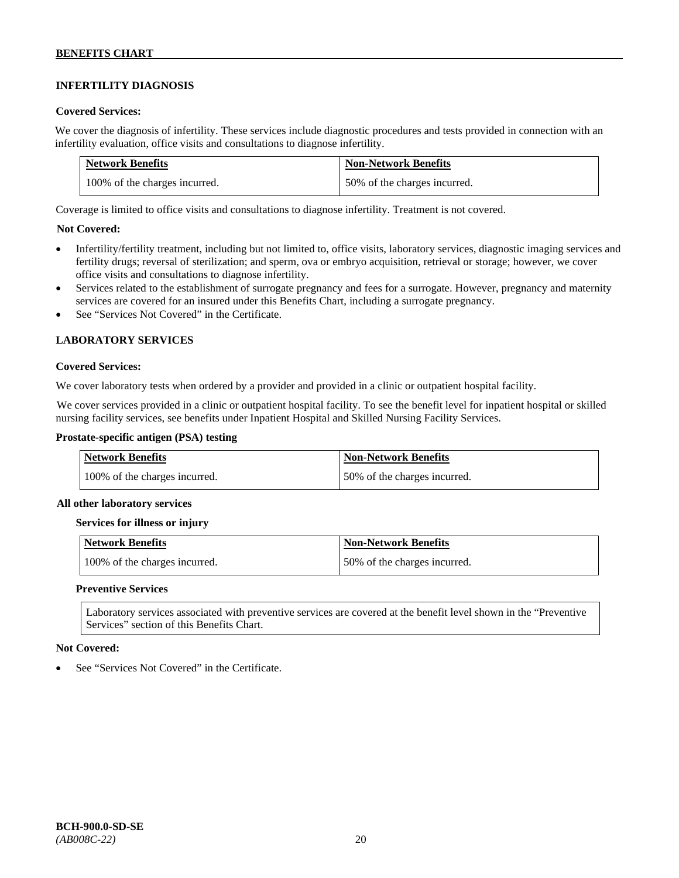# **INFERTILITY DIAGNOSIS**

### **Covered Services:**

We cover the diagnosis of infertility. These services include diagnostic procedures and tests provided in connection with an infertility evaluation, office visits and consultations to diagnose infertility.

| <b>Network Benefits</b>       | <b>Non-Network Benefits</b>  |
|-------------------------------|------------------------------|
| 100% of the charges incurred. | 50% of the charges incurred. |

Coverage is limited to office visits and consultations to diagnose infertility. Treatment is not covered.

### **Not Covered:**

- Infertility/fertility treatment, including but not limited to, office visits, laboratory services, diagnostic imaging services and fertility drugs; reversal of sterilization; and sperm, ova or embryo acquisition, retrieval or storage; however, we cover office visits and consultations to diagnose infertility.
- Services related to the establishment of surrogate pregnancy and fees for a surrogate. However, pregnancy and maternity services are covered for an insured under this Benefits Chart, including a surrogate pregnancy.
- See "Services Not Covered" in the Certificate.

### **LABORATORY SERVICES**

### **Covered Services:**

We cover laboratory tests when ordered by a provider and provided in a clinic or outpatient hospital facility.

We cover services provided in a clinic or outpatient hospital facility. To see the benefit level for inpatient hospital or skilled nursing facility services, see benefits under Inpatient Hospital and Skilled Nursing Facility Services.

### **Prostate-specific antigen (PSA) testing**

| <b>Network Benefits</b>       | <b>Non-Network Benefits</b>  |
|-------------------------------|------------------------------|
| 100% of the charges incurred. | 50% of the charges incurred. |

#### **All other laboratory services**

#### **Services for illness or injury**

| Network Benefits              | <b>Non-Network Benefits</b>  |
|-------------------------------|------------------------------|
| 100% of the charges incurred. | 50% of the charges incurred. |

#### **Preventive Services**

Laboratory services associated with preventive services are covered at the benefit level shown in the "Preventive Services" section of this Benefits Chart.

#### **Not Covered:**

See "Services Not Covered" in the Certificate.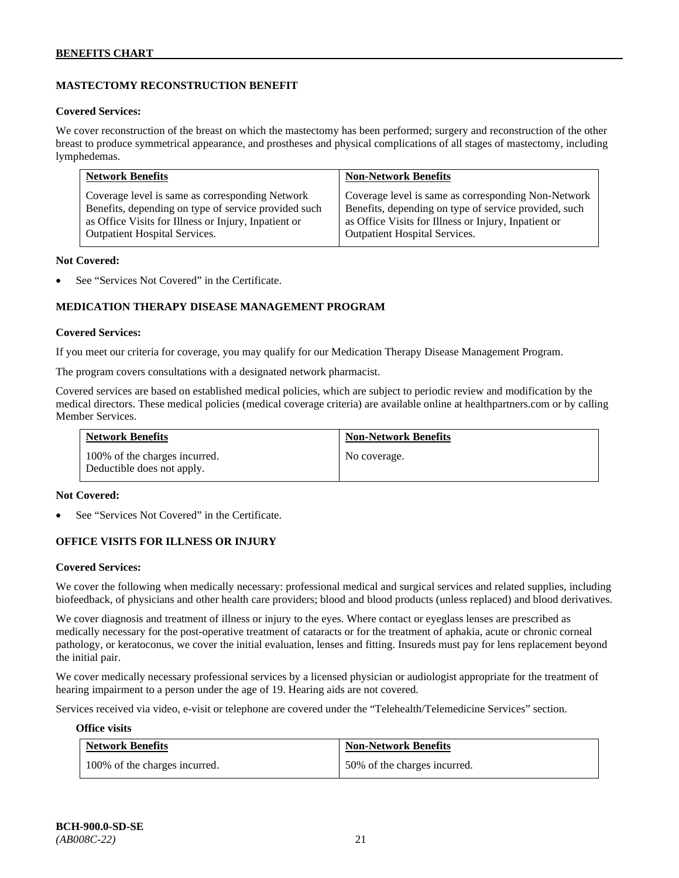# **MASTECTOMY RECONSTRUCTION BENEFIT**

#### **Covered Services:**

We cover reconstruction of the breast on which the mastectomy has been performed; surgery and reconstruction of the other breast to produce symmetrical appearance, and prostheses and physical complications of all stages of mastectomy, including lymphedemas.

| <b>Network Benefits</b>                              | <b>Non-Network Benefits</b>                           |
|------------------------------------------------------|-------------------------------------------------------|
| Coverage level is same as corresponding Network      | Coverage level is same as corresponding Non-Network   |
| Benefits, depending on type of service provided such | Benefits, depending on type of service provided, such |
| as Office Visits for Illness or Injury, Inpatient or | as Office Visits for Illness or Injury, Inpatient or  |
| <b>Outpatient Hospital Services.</b>                 | Outpatient Hospital Services.                         |

#### **Not Covered:**

See "Services Not Covered" in the Certificate.

### **MEDICATION THERAPY DISEASE MANAGEMENT PROGRAM**

### **Covered Services:**

If you meet our criteria for coverage, you may qualify for our Medication Therapy Disease Management Program.

The program covers consultations with a designated network pharmacist.

Covered services are based on established medical policies, which are subject to periodic review and modification by the medical directors. These medical policies (medical coverage criteria) are available online at [healthpartners.com](http://www.healthpartners.com/) or by calling Member Services.

| <b>Network Benefits</b>                                     | <b>Non-Network Benefits</b> |
|-------------------------------------------------------------|-----------------------------|
| 100% of the charges incurred.<br>Deductible does not apply. | No coverage.                |

#### **Not Covered:**

See "Services Not Covered" in the Certificate.

### **OFFICE VISITS FOR ILLNESS OR INJURY**

#### **Covered Services:**

We cover the following when medically necessary: professional medical and surgical services and related supplies, including biofeedback, of physicians and other health care providers; blood and blood products (unless replaced) and blood derivatives.

We cover diagnosis and treatment of illness or injury to the eyes. Where contact or eyeglass lenses are prescribed as medically necessary for the post-operative treatment of cataracts or for the treatment of aphakia, acute or chronic corneal pathology, or keratoconus, we cover the initial evaluation, lenses and fitting. Insureds must pay for lens replacement beyond the initial pair.

We cover medically necessary professional services by a licensed physician or audiologist appropriate for the treatment of hearing impairment to a person under the age of 19. Hearing aids are not covered.

Services received via video, e-visit or telephone are covered under the "Telehealth/Telemedicine Services" section.

#### **Office visits**

| <b>Network Benefits</b>       | <b>Non-Network Benefits</b>  |
|-------------------------------|------------------------------|
| 100% of the charges incurred. | 50% of the charges incurred. |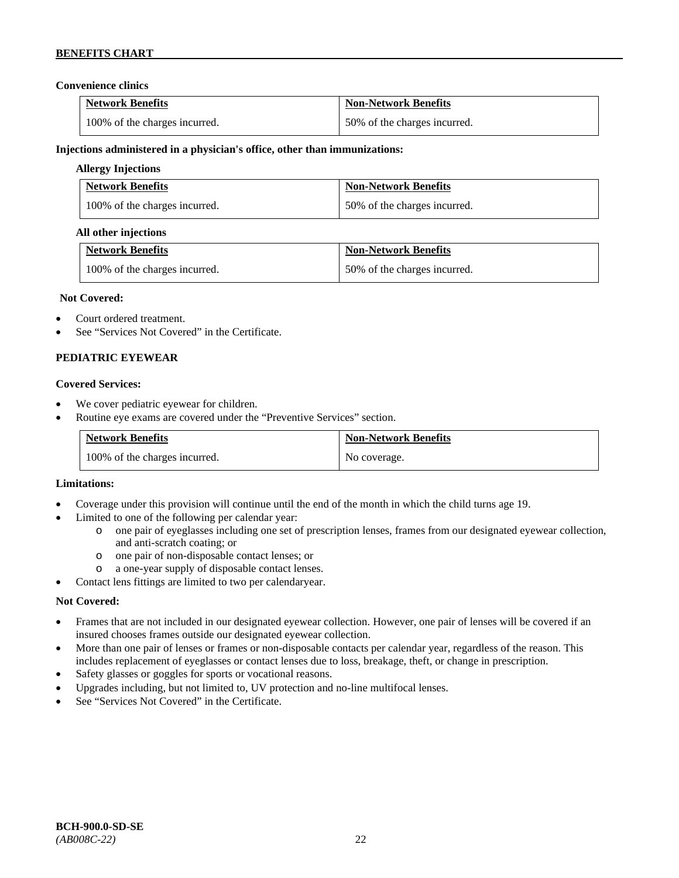### **Convenience clinics**

| <b>Network Benefits</b>       | <b>Non-Network Benefits</b>  |
|-------------------------------|------------------------------|
| 100% of the charges incurred. | 50% of the charges incurred. |

### **Injections administered in a physician's office, other than immunizations:**

### **Allergy Injections**

| <b>Network Benefits</b>       | <b>Non-Network Benefits</b>  |
|-------------------------------|------------------------------|
| 100% of the charges incurred. | 50% of the charges incurred. |

### **All other injections**

| <b>Network Benefits</b>       | <b>Non-Network Benefits</b>  |
|-------------------------------|------------------------------|
| 100% of the charges incurred. | 50% of the charges incurred. |

### **Not Covered:**

- Court ordered treatment.
- See "Services Not Covered" in the Certificate.

### **PEDIATRIC EYEWEAR**

### **Covered Services:**

- We cover pediatric eyewear for children.
- Routine eye exams are covered under the "Preventive Services" section.

| <b>Network Benefits</b>       | <b>Non-Network Benefits</b> |
|-------------------------------|-----------------------------|
| 100% of the charges incurred. | No coverage.                |

#### **Limitations:**

- Coverage under this provision will continue until the end of the month in which the child turns age 19.
- Limited to one of the following per calendar year:
	- o one pair of eyeglasses including one set of prescription lenses, frames from our designated eyewear collection, and anti-scratch coating; or
	- o one pair of non-disposable contact lenses; or
	- a one-year supply of disposable contact lenses.
- Contact lens fittings are limited to two per calendaryear.

### **Not Covered:**

- Frames that are not included in our designated eyewear collection. However, one pair of lenses will be covered if an insured chooses frames outside our designated eyewear collection.
- More than one pair of lenses or frames or non-disposable contacts per calendar year, regardless of the reason. This includes replacement of eyeglasses or contact lenses due to loss, breakage, theft, or change in prescription.
- Safety glasses or goggles for sports or vocational reasons.
- Upgrades including, but not limited to, UV protection and no-line multifocal lenses.
- See "Services Not Covered" in the Certificate.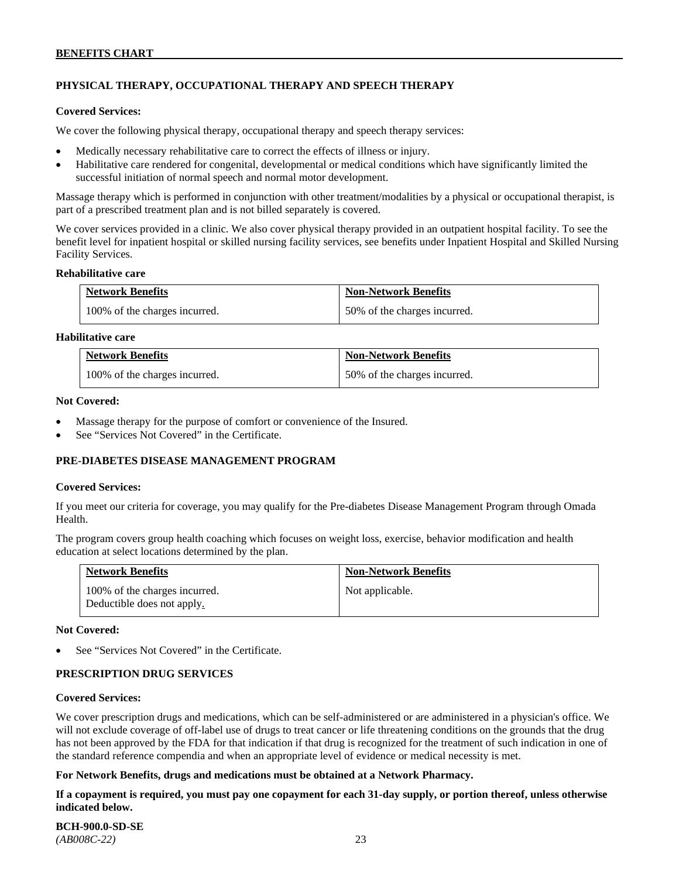# **PHYSICAL THERAPY, OCCUPATIONAL THERAPY AND SPEECH THERAPY**

#### **Covered Services:**

We cover the following physical therapy, occupational therapy and speech therapy services:

- Medically necessary rehabilitative care to correct the effects of illness or injury.
- Habilitative care rendered for congenital, developmental or medical conditions which have significantly limited the successful initiation of normal speech and normal motor development.

Massage therapy which is performed in conjunction with other treatment/modalities by a physical or occupational therapist, is part of a prescribed treatment plan and is not billed separately is covered.

We cover services provided in a clinic. We also cover physical therapy provided in an outpatient hospital facility. To see the benefit level for inpatient hospital or skilled nursing facility services, see benefits under Inpatient Hospital and Skilled Nursing Facility Services.

#### **Rehabilitative care**

| <b>Network Benefits</b>       | <b>Non-Network Benefits</b>  |
|-------------------------------|------------------------------|
| 100% of the charges incurred. | 50% of the charges incurred. |

### **Habilitative care**

| <b>Network Benefits</b>       | <b>Non-Network Benefits</b>  |
|-------------------------------|------------------------------|
| 100% of the charges incurred. | 50% of the charges incurred. |

#### **Not Covered:**

- Massage therapy for the purpose of comfort or convenience of the Insured.
- See "Services Not Covered" in the Certificate.

### **PRE-DIABETES DISEASE MANAGEMENT PROGRAM**

#### **Covered Services:**

If you meet our criteria for coverage, you may qualify for the Pre-diabetes Disease Management Program through Omada Health.

The program covers group health coaching which focuses on weight loss, exercise, behavior modification and health education at select locations determined by the plan.

| <b>Network Benefits</b>                                     | <b>Non-Network Benefits</b> |
|-------------------------------------------------------------|-----------------------------|
| 100% of the charges incurred.<br>Deductible does not apply. | Not applicable.             |

#### **Not Covered:**

See "Services Not Covered" in the Certificate.

### **PRESCRIPTION DRUG SERVICES**

#### **Covered Services:**

We cover prescription drugs and medications, which can be self-administered or are administered in a physician's office. We will not exclude coverage of off-label use of drugs to treat cancer or life threatening conditions on the grounds that the drug has not been approved by the FDA for that indication if that drug is recognized for the treatment of such indication in one of the standard reference compendia and when an appropriate level of evidence or medical necessity is met.

#### **For Network Benefits, drugs and medications must be obtained at a Network Pharmacy.**

**If a copayment is required, you must pay one copayment for each 31-day supply, or portion thereof, unless otherwise indicated below.**

**BCH-900.0-SD-SE**  *(AB008C-22)* 23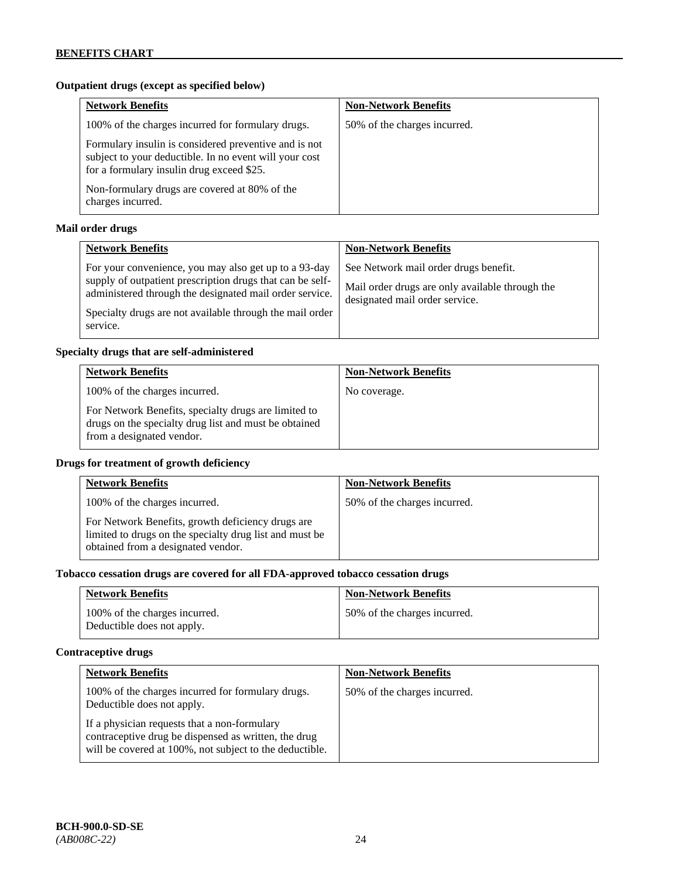# **Outpatient drugs (except as specified below)**

| <b>Network Benefits</b>                                                                                                                                      | <b>Non-Network Benefits</b>  |
|--------------------------------------------------------------------------------------------------------------------------------------------------------------|------------------------------|
| 100% of the charges incurred for formulary drugs.                                                                                                            | 50% of the charges incurred. |
| Formulary insulin is considered preventive and is not<br>subject to your deductible. In no event will your cost<br>for a formulary insulin drug exceed \$25. |                              |
| Non-formulary drugs are covered at 80% of the<br>charges incurred.                                                                                           |                              |

# **Mail order drugs**

| <b>Network Benefits</b>                                                                                                                                                                                                                               | <b>Non-Network Benefits</b>                                                                                                |
|-------------------------------------------------------------------------------------------------------------------------------------------------------------------------------------------------------------------------------------------------------|----------------------------------------------------------------------------------------------------------------------------|
| For your convenience, you may also get up to a 93-day<br>supply of outpatient prescription drugs that can be self-<br>administered through the designated mail order service.<br>Specialty drugs are not available through the mail order<br>service. | See Network mail order drugs benefit.<br>Mail order drugs are only available through the<br>designated mail order service. |

### **Specialty drugs that are self-administered**

| <b>Network Benefits</b>                                                                                                                    | <b>Non-Network Benefits</b> |
|--------------------------------------------------------------------------------------------------------------------------------------------|-----------------------------|
| 100% of the charges incurred.                                                                                                              | No coverage.                |
| For Network Benefits, specialty drugs are limited to<br>drugs on the specialty drug list and must be obtained<br>from a designated vendor. |                             |

# **Drugs for treatment of growth deficiency**

| <b>Network Benefits</b>                                                                                                                            | <b>Non-Network Benefits</b>  |
|----------------------------------------------------------------------------------------------------------------------------------------------------|------------------------------|
| 100% of the charges incurred.                                                                                                                      | 50% of the charges incurred. |
| For Network Benefits, growth deficiency drugs are<br>limited to drugs on the specialty drug list and must be<br>obtained from a designated vendor. |                              |

# **Tobacco cessation drugs are covered for all FDA-approved tobacco cessation drugs**

| <b>Network Benefits</b>                                     | <b>Non-Network Benefits</b>  |
|-------------------------------------------------------------|------------------------------|
| 100% of the charges incurred.<br>Deductible does not apply. | 50% of the charges incurred. |

# **Contraceptive drugs**

| <b>Network Benefits</b>                                                                                                                                         | <b>Non-Network Benefits</b>  |
|-----------------------------------------------------------------------------------------------------------------------------------------------------------------|------------------------------|
| 100% of the charges incurred for formulary drugs.<br>Deductible does not apply.                                                                                 | 50% of the charges incurred. |
| If a physician requests that a non-formulary<br>contraceptive drug be dispensed as written, the drug<br>will be covered at 100%, not subject to the deductible. |                              |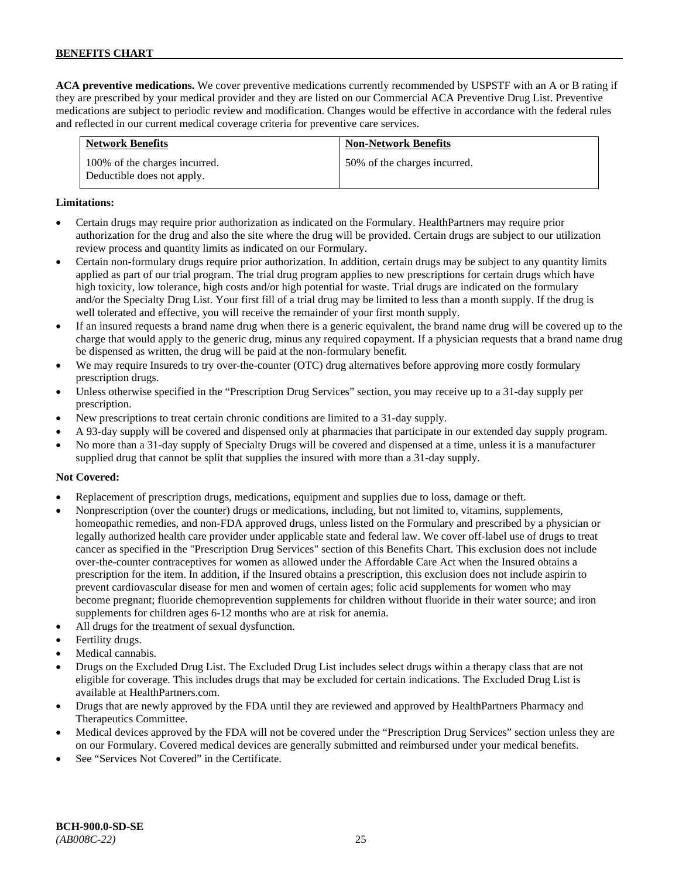**ACA preventive medications.** We cover preventive medications currently recommended by USPSTF with an A or B rating if they are prescribed by your medical provider and they are listed on our Commercial ACA Preventive Drug List. Preventive medications are subject to periodic review and modification. Changes would be effective in accordance with the federal rules and reflected in our current medical coverage criteria for preventive care services.

| <b>Network Benefits</b>                                     | <b>Non-Network Benefits</b>  |
|-------------------------------------------------------------|------------------------------|
| 100% of the charges incurred.<br>Deductible does not apply. | 50% of the charges incurred. |

### **Limitations:**

- Certain drugs may require prior authorization as indicated on the Formulary. HealthPartners may require prior authorization for the drug and also the site where the drug will be provided. Certain drugs are subject to our utilization review process and quantity limits as indicated on our Formulary.
- Certain non-formulary drugs require prior authorization. In addition, certain drugs may be subject to any quantity limits applied as part of our trial program. The trial drug program applies to new prescriptions for certain drugs which have high toxicity, low tolerance, high costs and/or high potential for waste. Trial drugs are indicated on the formulary and/or the Specialty Drug List. Your first fill of a trial drug may be limited to less than a month supply. If the drug is well tolerated and effective, you will receive the remainder of your first month supply.
- If an insured requests a brand name drug when there is a generic equivalent, the brand name drug will be covered up to the charge that would apply to the generic drug, minus any required copayment. If a physician requests that a brand name drug be dispensed as written, the drug will be paid at the non-formulary benefit.
- We may require Insureds to try over-the-counter (OTC) drug alternatives before approving more costly formulary prescription drugs.
- Unless otherwise specified in the "Prescription Drug Services" section, you may receive up to a 31-day supply per prescription.
- New prescriptions to treat certain chronic conditions are limited to a 31-day supply.
- A 93-day supply will be covered and dispensed only at pharmacies that participate in our extended day supply program.
- No more than a 31-day supply of Specialty Drugs will be covered and dispensed at a time, unless it is a manufacturer supplied drug that cannot be split that supplies the insured with more than a 31-day supply.

### **Not Covered:**

- Replacement of prescription drugs, medications, equipment and supplies due to loss, damage or theft.
- Nonprescription (over the counter) drugs or medications, including, but not limited to, vitamins, supplements, homeopathic remedies, and non-FDA approved drugs, unless listed on the Formulary and prescribed by a physician or legally authorized health care provider under applicable state and federal law. We cover off-label use of drugs to treat cancer as specified in the "Prescription Drug Services" section of this Benefits Chart. This exclusion does not include over-the-counter contraceptives for women as allowed under the Affordable Care Act when the Insured obtains a prescription for the item. In addition, if the Insured obtains a prescription, this exclusion does not include aspirin to prevent cardiovascular disease for men and women of certain ages; folic acid supplements for women who may become pregnant; fluoride chemoprevention supplements for children without fluoride in their water source; and iron supplements for children ages 6-12 months who are at risk for anemia.
- All drugs for the treatment of sexual dysfunction.
- Fertility drugs.
- Medical cannabis.
- Drugs on the Excluded Drug List. The Excluded Drug List includes select drugs within a therapy class that are not eligible for coverage. This includes drugs that may be excluded for certain indications. The Excluded Drug List is available a[t HealthPartners.com.](http://www.healthpartners.com/)
- Drugs that are newly approved by the FDA until they are reviewed and approved by HealthPartners Pharmacy and Therapeutics Committee.
- Medical devices approved by the FDA will not be covered under the "Prescription Drug Services" section unless they are on our Formulary. Covered medical devices are generally submitted and reimbursed under your medical benefits.
- See "Services Not Covered" in the Certificate.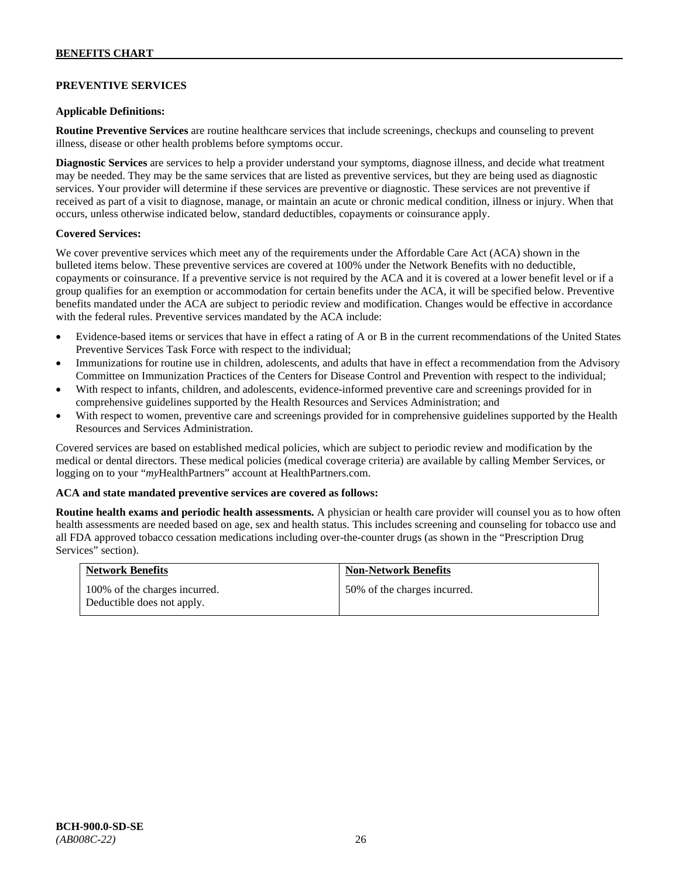### **PREVENTIVE SERVICES**

### **Applicable Definitions:**

**Routine Preventive Services** are routine healthcare services that include screenings, checkups and counseling to prevent illness, disease or other health problems before symptoms occur.

**Diagnostic Services** are services to help a provider understand your symptoms, diagnose illness, and decide what treatment may be needed. They may be the same services that are listed as preventive services, but they are being used as diagnostic services. Your provider will determine if these services are preventive or diagnostic. These services are not preventive if received as part of a visit to diagnose, manage, or maintain an acute or chronic medical condition, illness or injury. When that occurs, unless otherwise indicated below, standard deductibles, copayments or coinsurance apply.

### **Covered Services:**

We cover preventive services which meet any of the requirements under the Affordable Care Act (ACA) shown in the bulleted items below. These preventive services are covered at 100% under the Network Benefits with no deductible, copayments or coinsurance. If a preventive service is not required by the ACA and it is covered at a lower benefit level or if a group qualifies for an exemption or accommodation for certain benefits under the ACA, it will be specified below. Preventive benefits mandated under the ACA are subject to periodic review and modification. Changes would be effective in accordance with the federal rules. Preventive services mandated by the ACA include:

- Evidence-based items or services that have in effect a rating of A or B in the current recommendations of the United States Preventive Services Task Force with respect to the individual;
- Immunizations for routine use in children, adolescents, and adults that have in effect a recommendation from the Advisory Committee on Immunization Practices of the Centers for Disease Control and Prevention with respect to the individual;
- With respect to infants, children, and adolescents, evidence-informed preventive care and screenings provided for in comprehensive guidelines supported by the Health Resources and Services Administration; and
- With respect to women, preventive care and screenings provided for in comprehensive guidelines supported by the Health Resources and Services Administration.

Covered services are based on established medical policies, which are subject to periodic review and modification by the medical or dental directors. These medical policies (medical coverage criteria) are available by calling Member Services, or logging on to your "*my*HealthPartners" account at [HealthPartners.com.](http://www.healthpartners.com/)

#### **ACA and state mandated preventive services are covered as follows:**

**Routine health exams and periodic health assessments.** A physician or health care provider will counsel you as to how often health assessments are needed based on age, sex and health status. This includes screening and counseling for tobacco use and all FDA approved tobacco cessation medications including over-the-counter drugs (as shown in the "Prescription Drug Services" section).

| <b>Network Benefits</b>                                     | <b>Non-Network Benefits</b>  |
|-------------------------------------------------------------|------------------------------|
| 100% of the charges incurred.<br>Deductible does not apply. | 50% of the charges incurred. |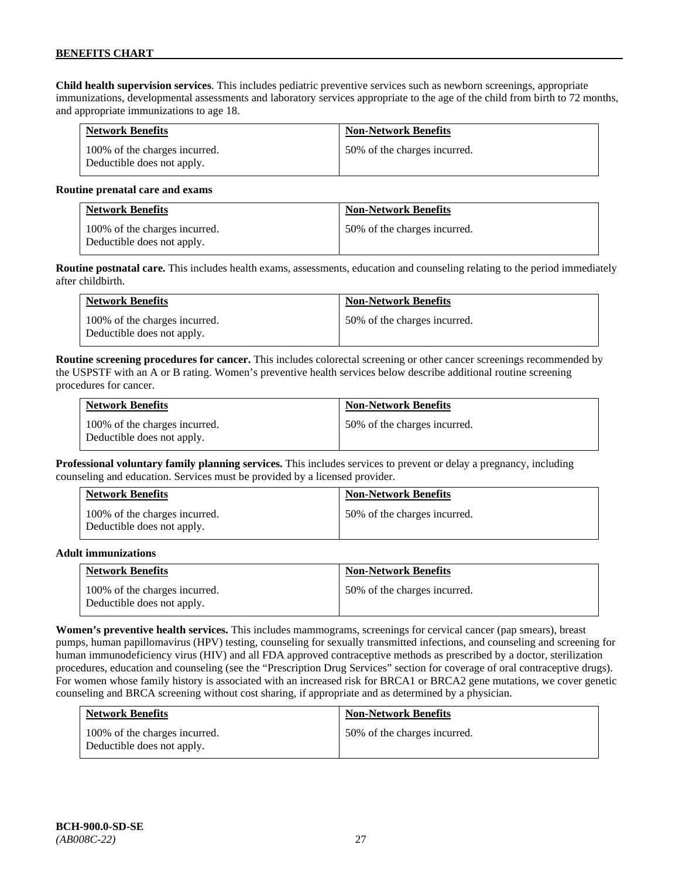**Child health supervision services**. This includes pediatric preventive services such as newborn screenings, appropriate immunizations, developmental assessments and laboratory services appropriate to the age of the child from birth to 72 months, and appropriate immunizations to age 18.

| <b>Network Benefits</b>                                     | <b>Non-Network Benefits</b>  |
|-------------------------------------------------------------|------------------------------|
| 100% of the charges incurred.<br>Deductible does not apply. | 50% of the charges incurred. |

#### **Routine prenatal care and exams**

| <b>Network Benefits</b>                                     | <b>Non-Network Benefits</b>  |
|-------------------------------------------------------------|------------------------------|
| 100% of the charges incurred.<br>Deductible does not apply. | 50% of the charges incurred. |

**Routine postnatal care.** This includes health exams, assessments, education and counseling relating to the period immediately after childbirth.

| <b>Network Benefits</b>                                     | <b>Non-Network Benefits</b>  |
|-------------------------------------------------------------|------------------------------|
| 100% of the charges incurred.<br>Deductible does not apply. | 50% of the charges incurred. |

**Routine screening procedures for cancer.** This includes colorectal screening or other cancer screenings recommended by the USPSTF with an A or B rating. Women's preventive health services below describe additional routine screening procedures for cancer.

| <b>Network Benefits</b>                                     | <b>Non-Network Benefits</b>  |
|-------------------------------------------------------------|------------------------------|
| 100% of the charges incurred.<br>Deductible does not apply. | 50% of the charges incurred. |

**Professional voluntary family planning services.** This includes services to prevent or delay a pregnancy, including counseling and education. Services must be provided by a licensed provider.

| <b>Network Benefits</b>                                     | <b>Non-Network Benefits</b>  |
|-------------------------------------------------------------|------------------------------|
| 100% of the charges incurred.<br>Deductible does not apply. | 50% of the charges incurred. |

#### **Adult immunizations**

| <b>Network Benefits</b>                                     | <b>Non-Network Benefits</b>  |
|-------------------------------------------------------------|------------------------------|
| 100% of the charges incurred.<br>Deductible does not apply. | 50% of the charges incurred. |

**Women's preventive health services.** This includes mammograms, screenings for cervical cancer (pap smears), breast pumps, human papillomavirus (HPV) testing, counseling for sexually transmitted infections, and counseling and screening for human immunodeficiency virus (HIV) and all FDA approved contraceptive methods as prescribed by a doctor, sterilization procedures, education and counseling (see the "Prescription Drug Services" section for coverage of oral contraceptive drugs). For women whose family history is associated with an increased risk for BRCA1 or BRCA2 gene mutations, we cover genetic counseling and BRCA screening without cost sharing, if appropriate and as determined by a physician.

| <b>Network Benefits</b>                                     | <b>Non-Network Benefits</b>  |
|-------------------------------------------------------------|------------------------------|
| 100% of the charges incurred.<br>Deductible does not apply. | 50% of the charges incurred. |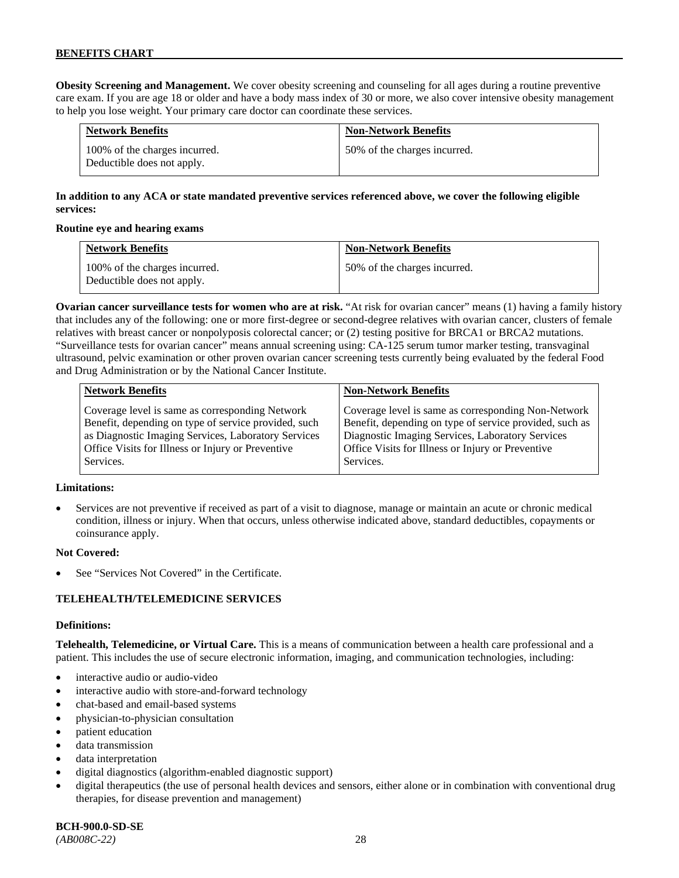**Obesity Screening and Management.** We cover obesity screening and counseling for all ages during a routine preventive care exam. If you are age 18 or older and have a body mass index of 30 or more, we also cover intensive obesity management to help you lose weight. Your primary care doctor can coordinate these services.

| <b>Network Benefits</b>                                     | <b>Non-Network Benefits</b>  |
|-------------------------------------------------------------|------------------------------|
| 100% of the charges incurred.<br>Deductible does not apply. | 50% of the charges incurred. |

# **In addition to any ACA or state mandated preventive services referenced above, we cover the following eligible services:**

### **Routine eye and hearing exams**

| <b>Network Benefits</b>                                     | <b>Non-Network Benefits</b>  |
|-------------------------------------------------------------|------------------------------|
| 100% of the charges incurred.<br>Deductible does not apply. | 50% of the charges incurred. |

**Ovarian cancer surveillance tests for women who are at risk.** "At risk for ovarian cancer" means (1) having a family history that includes any of the following: one or more first-degree or second-degree relatives with ovarian cancer, clusters of female relatives with breast cancer or nonpolyposis colorectal cancer; or (2) testing positive for BRCA1 or BRCA2 mutations. "Surveillance tests for ovarian cancer" means annual screening using: CA-125 serum tumor marker testing, transvaginal ultrasound, pelvic examination or other proven ovarian cancer screening tests currently being evaluated by the federal Food and Drug Administration or by the National Cancer Institute.

| <b>Network Benefits</b>                              | <b>Non-Network Benefits</b>                             |
|------------------------------------------------------|---------------------------------------------------------|
| Coverage level is same as corresponding Network      | Coverage level is same as corresponding Non-Network     |
| Benefit, depending on type of service provided, such | Benefit, depending on type of service provided, such as |
| as Diagnostic Imaging Services, Laboratory Services  | Diagnostic Imaging Services, Laboratory Services        |
| Office Visits for Illness or Injury or Preventive    | Office Visits for Illness or Injury or Preventive       |
| Services.                                            | Services.                                               |

### **Limitations:**

• Services are not preventive if received as part of a visit to diagnose, manage or maintain an acute or chronic medical condition, illness or injury. When that occurs, unless otherwise indicated above, standard deductibles, copayments or coinsurance apply.

### **Not Covered:**

See "Services Not Covered" in the Certificate.

### **TELEHEALTH/TELEMEDICINE SERVICES**

#### **Definitions:**

**Telehealth, Telemedicine, or Virtual Care.** This is a means of communication between a health care professional and a patient. This includes the use of secure electronic information, imaging, and communication technologies, including:

- interactive audio or audio-video
- interactive audio with store-and-forward technology
- chat-based and email-based systems
- physician-to-physician consultation
- patient education
- data transmission
- data interpretation
- digital diagnostics (algorithm-enabled diagnostic support)
- digital therapeutics (the use of personal health devices and sensors, either alone or in combination with conventional drug therapies, for disease prevention and management)

*(AB008C-22)* 28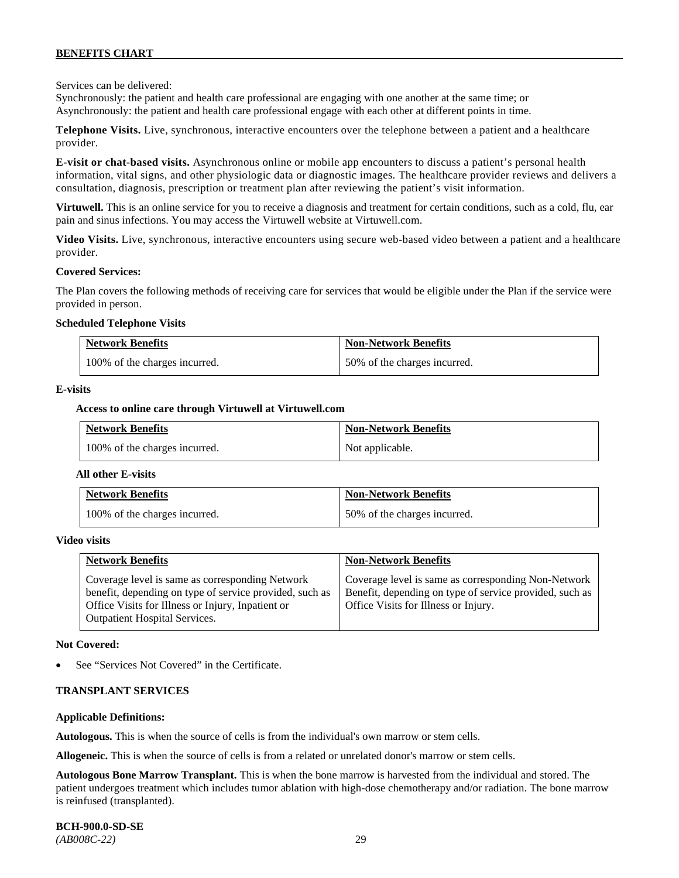Services can be delivered:

Synchronously: the patient and health care professional are engaging with one another at the same time; or Asynchronously: the patient and health care professional engage with each other at different points in time.

**Telephone Visits.** Live, synchronous, interactive encounters over the telephone between a patient and a healthcare provider.

**E-visit or chat-based visits.** Asynchronous online or mobile app encounters to discuss a patient's personal health information, vital signs, and other physiologic data or diagnostic images. The healthcare provider reviews and delivers a consultation, diagnosis, prescription or treatment plan after reviewing the patient's visit information.

**Virtuwell.** This is an online service for you to receive a diagnosis and treatment for certain conditions, such as a cold, flu, ear pain and sinus infections. You may access the Virtuwell website at [Virtuwell.com.](https://www.virtuwell.com/)

**Video Visits.** Live, synchronous, interactive encounters using secure web-based video between a patient and a healthcare provider.

#### **Covered Services:**

The Plan covers the following methods of receiving care for services that would be eligible under the Plan if the service were provided in person.

#### **Scheduled Telephone Visits**

| <b>Network Benefits</b>       | <b>Non-Network Benefits</b>  |
|-------------------------------|------------------------------|
| 100% of the charges incurred. | 50% of the charges incurred. |

#### **E-visits**

#### **Access to online care through Virtuwell at [Virtuwell.com](http://www.virtuwell.com/)**

| <b>Network Benefits</b>       | <b>Non-Network Benefits</b> |
|-------------------------------|-----------------------------|
| 100% of the charges incurred. | Not applicable.             |

#### **All other E-visits**

| <b>Network Benefits</b>       | <b>Non-Network Benefits</b>  |
|-------------------------------|------------------------------|
| 100% of the charges incurred. | 50% of the charges incurred. |

#### **Video visits**

| <b>Network Benefits</b>                                                                                                                                                                          | <b>Non-Network Benefits</b>                                                                                                                            |
|--------------------------------------------------------------------------------------------------------------------------------------------------------------------------------------------------|--------------------------------------------------------------------------------------------------------------------------------------------------------|
| Coverage level is same as corresponding Network<br>benefit, depending on type of service provided, such as<br>Office Visits for Illness or Injury, Inpatient or<br>Outpatient Hospital Services. | Coverage level is same as corresponding Non-Network<br>Benefit, depending on type of service provided, such as<br>Office Visits for Illness or Injury. |

#### **Not Covered:**

See "Services Not Covered" in the Certificate.

#### **TRANSPLANT SERVICES**

#### **Applicable Definitions:**

**Autologous.** This is when the source of cells is from the individual's own marrow or stem cells.

**Allogeneic.** This is when the source of cells is from a related or unrelated donor's marrow or stem cells.

**Autologous Bone Marrow Transplant.** This is when the bone marrow is harvested from the individual and stored. The patient undergoes treatment which includes tumor ablation with high-dose chemotherapy and/or radiation. The bone marrow is reinfused (transplanted).

**BCH-900.0-SD-SE**  *(AB008C-22)* 29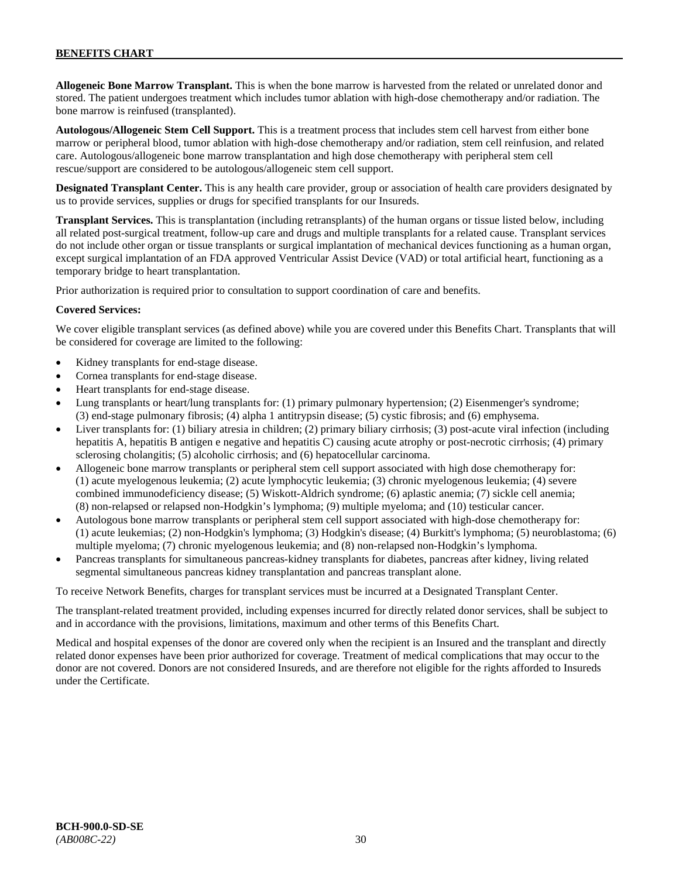**Allogeneic Bone Marrow Transplant.** This is when the bone marrow is harvested from the related or unrelated donor and stored. The patient undergoes treatment which includes tumor ablation with high-dose chemotherapy and/or radiation. The bone marrow is reinfused (transplanted).

**Autologous/Allogeneic Stem Cell Support.** This is a treatment process that includes stem cell harvest from either bone marrow or peripheral blood, tumor ablation with high-dose chemotherapy and/or radiation, stem cell reinfusion, and related care. Autologous/allogeneic bone marrow transplantation and high dose chemotherapy with peripheral stem cell rescue/support are considered to be autologous/allogeneic stem cell support.

**Designated Transplant Center.** This is any health care provider, group or association of health care providers designated by us to provide services, supplies or drugs for specified transplants for our Insureds.

**Transplant Services.** This is transplantation (including retransplants) of the human organs or tissue listed below, including all related post-surgical treatment, follow-up care and drugs and multiple transplants for a related cause. Transplant services do not include other organ or tissue transplants or surgical implantation of mechanical devices functioning as a human organ, except surgical implantation of an FDA approved Ventricular Assist Device (VAD) or total artificial heart, functioning as a temporary bridge to heart transplantation.

Prior authorization is required prior to consultation to support coordination of care and benefits.

### **Covered Services:**

We cover eligible transplant services (as defined above) while you are covered under this Benefits Chart. Transplants that will be considered for coverage are limited to the following:

- Kidney transplants for end-stage disease.
- Cornea transplants for end-stage disease.
- Heart transplants for end-stage disease.
- Lung transplants or heart/lung transplants for: (1) primary pulmonary hypertension; (2) Eisenmenger's syndrome; (3) end-stage pulmonary fibrosis; (4) alpha 1 antitrypsin disease; (5) cystic fibrosis; and (6) emphysema.
- Liver transplants for: (1) biliary atresia in children; (2) primary biliary cirrhosis; (3) post-acute viral infection (including hepatitis A, hepatitis B antigen e negative and hepatitis C) causing acute atrophy or post-necrotic cirrhosis; (4) primary sclerosing cholangitis; (5) alcoholic cirrhosis; and (6) hepatocellular carcinoma.
- Allogeneic bone marrow transplants or peripheral stem cell support associated with high dose chemotherapy for: (1) acute myelogenous leukemia; (2) acute lymphocytic leukemia; (3) chronic myelogenous leukemia; (4) severe combined immunodeficiency disease; (5) Wiskott-Aldrich syndrome; (6) aplastic anemia; (7) sickle cell anemia; (8) non-relapsed or relapsed non-Hodgkin's lymphoma; (9) multiple myeloma; and (10) testicular cancer.
- Autologous bone marrow transplants or peripheral stem cell support associated with high-dose chemotherapy for: (1) acute leukemias; (2) non-Hodgkin's lymphoma; (3) Hodgkin's disease; (4) Burkitt's lymphoma; (5) neuroblastoma; (6) multiple myeloma; (7) chronic myelogenous leukemia; and (8) non-relapsed non-Hodgkin's lymphoma.
- Pancreas transplants for simultaneous pancreas-kidney transplants for diabetes, pancreas after kidney, living related segmental simultaneous pancreas kidney transplantation and pancreas transplant alone.

To receive Network Benefits, charges for transplant services must be incurred at a Designated Transplant Center.

The transplant-related treatment provided, including expenses incurred for directly related donor services, shall be subject to and in accordance with the provisions, limitations, maximum and other terms of this Benefits Chart.

Medical and hospital expenses of the donor are covered only when the recipient is an Insured and the transplant and directly related donor expenses have been prior authorized for coverage. Treatment of medical complications that may occur to the donor are not covered. Donors are not considered Insureds, and are therefore not eligible for the rights afforded to Insureds under the Certificate.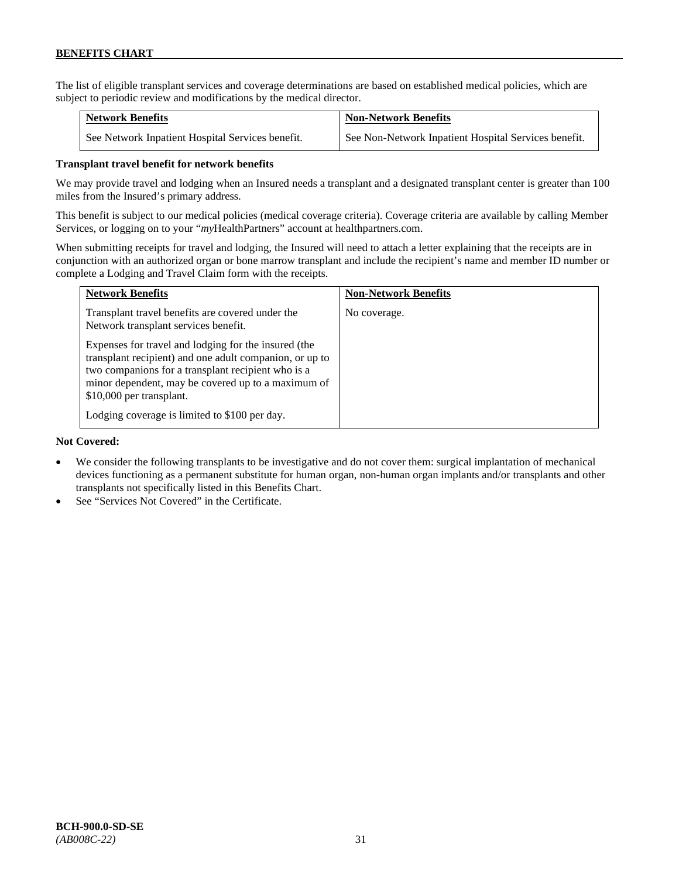The list of eligible transplant services and coverage determinations are based on established medical policies, which are subject to periodic review and modifications by the medical director.

| <b>Network Benefits</b>                          | <b>Non-Network Benefits</b>                          |
|--------------------------------------------------|------------------------------------------------------|
| See Network Inpatient Hospital Services benefit. | See Non-Network Inpatient Hospital Services benefit. |

### **Transplant travel benefit for network benefits**

We may provide travel and lodging when an Insured needs a transplant and a designated transplant center is greater than 100 miles from the Insured's primary address.

This benefit is subject to our medical policies (medical coverage criteria). Coverage criteria are available by calling Member Services, or logging on to your "*my*HealthPartners" account a[t healthpartners.com.](http://www.healthpartners.com/)

When submitting receipts for travel and lodging, the Insured will need to attach a letter explaining that the receipts are in conjunction with an authorized organ or bone marrow transplant and include the recipient's name and member ID number or complete a Lodging and Travel Claim form with the receipts.

| <b>Network Benefits</b>                                                                                                                                                                                                                                 | <b>Non-Network Benefits</b> |
|---------------------------------------------------------------------------------------------------------------------------------------------------------------------------------------------------------------------------------------------------------|-----------------------------|
| Transplant travel benefits are covered under the<br>Network transplant services benefit.                                                                                                                                                                | No coverage.                |
| Expenses for travel and lodging for the insured (the<br>transplant recipient) and one adult companion, or up to<br>two companions for a transplant recipient who is a<br>minor dependent, may be covered up to a maximum of<br>\$10,000 per transplant. |                             |
| Lodging coverage is limited to \$100 per day.                                                                                                                                                                                                           |                             |

### **Not Covered:**

- We consider the following transplants to be investigative and do not cover them: surgical implantation of mechanical devices functioning as a permanent substitute for human organ, non-human organ implants and/or transplants and other transplants not specifically listed in this Benefits Chart.
- See "Services Not Covered" in the Certificate.